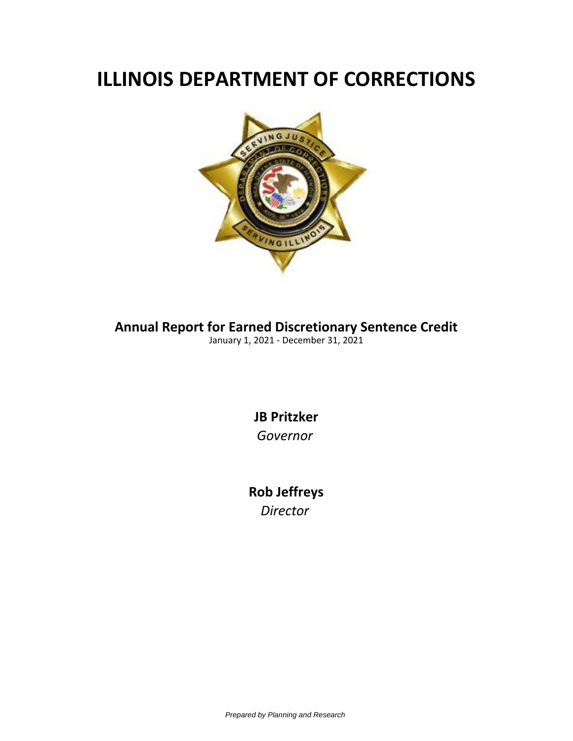## **ILLINOIS DEPARTMENT OF CORRECTIONS**



**Annual Report for Earned Discretionary Sentence Credit**

January 1, 2021 - December 31, 2021

**JB Pritzker** *Governor*

**Rob Jeffreys** *Director*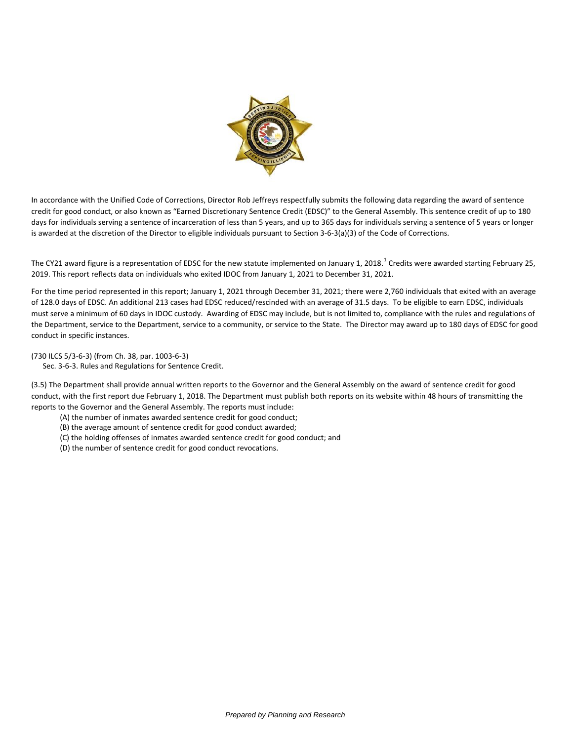

In accordance with the Unified Code of Corrections, Director Rob Jeffreys respectfully submits the following data regarding the award of sentence credit for good conduct, or also known as "Earned Discretionary Sentence Credit (EDSC)" to the General Assembly. This sentence credit of up to 180 days for individuals serving a sentence of incarceration of less than 5 years, and up to 365 days for individuals serving a sentence of 5 years or longer is awarded at the discretion of the Director to eligible individuals pursuant to Section 3-6-3(a)(3) of the Code of Corrections.

The CY21 award figure is a representation of EDSC for the new statute implemented on January 1, 2018.<sup>1</sup> Credits were awarded starting February 25, 2019. This report reflects data on individuals who exited IDOC from January 1, 2021 to December 31, 2021.

For the time period represented in this report; January 1, 2021 through December 31, 2021; there were 2,760 individuals that exited with an average of 128.0 days of EDSC. An additional 213 cases had EDSC reduced/rescinded with an average of 31.5 days. To be eligible to earn EDSC, individuals must serve a minimum of 60 days in IDOC custody. Awarding of EDSC may include, but is not limited to, compliance with the rules and regulations of the Department, service to the Department, service to a community, or service to the State. The Director may award up to 180 days of EDSC for good conduct in specific instances.

(730 ILCS 5/3-6-3) (from Ch. 38, par. 1003-6-3)

Sec. 3-6-3. Rules and Regulations for Sentence Credit.

(3.5) The Department shall provide annual written reports to the Governor and the General Assembly on the award of sentence credit for good conduct, with the first report due February 1, 2018. The Department must publish both reports on its website within 48 hours of transmitting the reports to the Governor and the General Assembly. The reports must include:

- (A) the number of inmates awarded sentence credit for good conduct;
- (B) the average amount of sentence credit for good conduct awarded;
- (C) the holding offenses of inmates awarded sentence credit for good conduct; and
- (D) the number of sentence credit for good conduct revocations.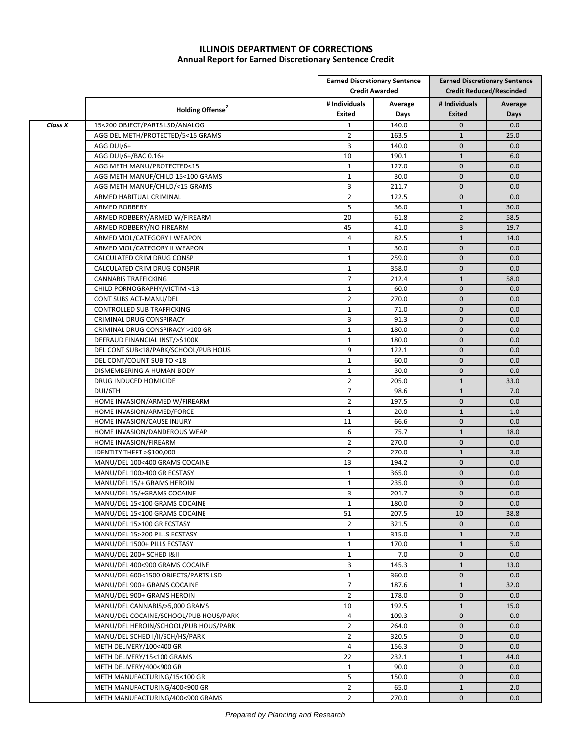## **ILLINOIS DEPARTMENT OF CORRECTIONS Annual Report for Earned Discretionary Sentence Credit**

|         |                                       |                         | <b>Earned Discretionary Sentence</b><br><b>Credit Awarded</b> | <b>Earned Discretionary Sentence</b><br><b>Credit Reduced/Rescinded</b> |                 |
|---------|---------------------------------------|-------------------------|---------------------------------------------------------------|-------------------------------------------------------------------------|-----------------|
|         | Holding Offense <sup>2</sup>          | # Individuals<br>Exited | Average<br>Days                                               | # Individuals<br><b>Exited</b>                                          | Average<br>Days |
| Class X | 15<200 OBJECT/PARTS LSD/ANALOG        | $\mathbf{1}$            | 140.0                                                         | $\mathbf 0$                                                             | 0.0             |
|         | AGG DEL METH/PROTECTED/5<15 GRAMS     | $\overline{2}$          | 163.5                                                         | $\mathbf{1}$                                                            | 25.0            |
|         | AGG DUI/6+                            | 3                       | 140.0                                                         | $\mathbf{0}$                                                            | 0.0             |
|         | AGG DUI/6+/BAC 0.16+                  | 10                      | 190.1                                                         | $\mathbf{1}$                                                            | 6.0             |
|         | AGG METH MANU/PROTECTED<15            | $\mathbf{1}$            | 127.0                                                         | $\mathbf{0}$                                                            | 0.0             |
|         | AGG METH MANUF/CHILD 15<100 GRAMS     | $\mathbf{1}$            | 30.0                                                          | $\mathbf{0}$                                                            | 0.0             |
|         | AGG METH MANUF/CHILD/<15 GRAMS        | 3                       | 211.7                                                         | $\mathbf{0}$                                                            | 0.0             |
|         | ARMED HABITUAL CRIMINAL               | $\overline{2}$          | 122.5                                                         | $\mathbf{0}$                                                            | 0.0             |
|         | <b>ARMED ROBBERY</b>                  | 5                       | 36.0                                                          | $\mathbf{1}$                                                            | 30.0            |
|         | ARMED ROBBERY/ARMED W/FIREARM         | 20                      | 61.8                                                          | $\overline{2}$                                                          | 58.5            |
|         | ARMED ROBBERY/NO FIREARM              | 45                      | 41.0                                                          | 3                                                                       | 19.7            |
|         | ARMED VIOL/CATEGORY I WEAPON          | 4                       | 82.5                                                          | $\mathbf{1}$                                                            | 14.0            |
|         | ARMED VIOL/CATEGORY II WEAPON         | $\mathbf{1}$            | 30.0                                                          | $\mathbf{0}$                                                            | 0.0             |
|         | CALCULATED CRIM DRUG CONSP            | $\mathbf{1}$            | 259.0                                                         | $\mathbf{0}$                                                            | 0.0             |
|         | CALCULATED CRIM DRUG CONSPIR          | $\mathbf{1}$            | 358.0                                                         | $\mathbf{0}$                                                            | 0.0             |
|         | <b>CANNABIS TRAFFICKING</b>           | $\overline{7}$          | 212.4                                                         | $\mathbf{1}$                                                            | 58.0            |
|         | CHILD PORNOGRAPHY/VICTIM <13          | $\mathbf{1}$            | 60.0                                                          | $\mathbf{0}$                                                            | 0.0             |
|         | CONT SUBS ACT-MANU/DEL                | $\overline{2}$          | 270.0                                                         | $\mathbf{0}$                                                            | 0.0             |
|         | CONTROLLED SUB TRAFFICKING            | $\mathbf{1}$            | 71.0                                                          | $\mathbf{0}$                                                            | 0.0             |
|         | CRIMINAL DRUG CONSPIRACY              | 3                       | 91.3                                                          | $\mathbf 0$                                                             | 0.0             |
|         | CRIMINAL DRUG CONSPIRACY >100 GR      | $\mathbf{1}$            | 180.0                                                         | $\mathbf{0}$                                                            | 0.0             |
|         | DEFRAUD FINANCIAL INST/>\$100K        | $\mathbf{1}$            | 180.0                                                         | $\mathbf{0}$                                                            | 0.0             |
|         | DEL CONT SUB<18/PARK/SCHOOL/PUB HOUS  | 9                       | 122.1                                                         | $\mathbf{0}$                                                            | 0.0             |
|         | DEL CONT/COUNT SUB TO <18             | $\mathbf{1}$            | 60.0                                                          | $\mathbf{0}$                                                            | 0.0             |
|         | DISMEMBERING A HUMAN BODY             | $\mathbf{1}$            | 30.0                                                          | $\mathbf{0}$                                                            | 0.0             |
|         | DRUG INDUCED HOMICIDE                 | $\overline{2}$          | 205.0                                                         | $\mathbf{1}$                                                            | 33.0            |
|         | DUI/6TH                               | $\overline{7}$          | 98.6                                                          | $\mathbf{1}$                                                            | 7.0             |
|         | HOME INVASION/ARMED W/FIREARM         | $\overline{2}$          | 197.5                                                         | $\mathbf{0}$                                                            | 0.0             |
|         | HOME INVASION/ARMED/FORCE             | $\mathbf{1}$            | 20.0                                                          | $\mathbf{1}$                                                            | 1.0             |
|         | HOME INVASION/CAUSE INJURY            | 11                      | 66.6                                                          | $\mathbf{0}$                                                            | 0.0             |
|         | HOME INVASION/DANDEROUS WEAP          | 6                       | 75.7                                                          | $\mathbf{1}$                                                            | 18.0            |
|         | HOME INVASION/FIREARM                 | $\overline{2}$          | 270.0                                                         | $\mathbf 0$                                                             | 0.0             |
|         | IDENTITY THEFT >\$100,000             | $\overline{2}$          | 270.0                                                         | $\mathbf{1}$                                                            | 3.0             |
|         | MANU/DEL 100<400 GRAMS COCAINE        | 13                      | 194.2                                                         | $\mathbf{0}$                                                            | 0.0             |
|         | MANU/DEL 100>400 GR ECSTASY           | $\mathbf{1}$            | 365.0                                                         | $\mathbf{0}$                                                            | 0.0             |
|         | MANU/DEL 15/+ GRAMS HEROIN            | $\mathbf{1}$            | 235.0                                                         | $\mathbf 0$                                                             | 0.0             |
|         | MANU/DEL 15/+GRAMS COCAINE            | 3                       | 201.7                                                         | $\mathbf{0}$                                                            | 0.0             |
|         | MANU/DEL 15<100 GRAMS COCAINE         | $\mathbf{1}$            | 180.0                                                         | $\pmb{0}$                                                               | 0.0             |
|         | MANU/DEL 15<100 GRAMS COCAINE         | 51                      | 207.5                                                         | 10                                                                      | 38.8            |
|         | MANU/DEL 15>100 GR ECSTASY            | $\overline{2}$          | 321.5                                                         | $\mathbf 0$                                                             | 0.0             |
|         | MANU/DEL 15>200 PILLS ECSTASY         | $\mathbf{1}$            | 315.0                                                         | $\mathbf{1}$                                                            | 7.0             |
|         | MANU/DEL 1500+ PILLS ECSTASY          | $\mathbf{1}$            | 170.0                                                         | $\mathbf{1}$                                                            | 5.0             |
|         | MANU/DEL 200+ SCHED I&II              | $\mathbf{1}$            | 7.0                                                           | $\mathbf 0$                                                             | 0.0             |
|         | MANU/DEL 400<900 GRAMS COCAINE        | 3                       | 145.3                                                         | $\mathbf{1}$                                                            | 13.0            |
|         | MANU/DEL 600<1500 OBJECTS/PARTS LSD   | $\mathbf{1}$            | 360.0                                                         | $\mathbf 0$                                                             | 0.0             |
|         | MANU/DEL 900+ GRAMS COCAINE           | $\overline{7}$          | 187.6                                                         | $\mathbf{1}$                                                            | 32.0            |
|         | MANU/DEL 900+ GRAMS HEROIN            | $\overline{2}$          | 178.0                                                         | $\mathbf 0$                                                             | 0.0             |
|         | MANU/DEL CANNABIS/>5,000 GRAMS        | 10                      | 192.5                                                         | $\mathbf{1}$                                                            | 15.0            |
|         | MANU/DEL COCAINE/SCHOOL/PUB HOUS/PARK | $\overline{4}$          | 109.3                                                         | $\mathbf 0$                                                             | 0.0             |
|         | MANU/DEL HEROIN/SCHOOL/PUB HOUS/PARK  | $\overline{2}$          | 264.0                                                         | $\mathbf 0$                                                             | 0.0             |
|         | MANU/DEL SCHED I/II/SCH/HS/PARK       | $\overline{2}$          | 320.5                                                         | $\mathbf 0$                                                             | 0.0             |
|         | METH DELIVERY/100<400 GR              | $\overline{4}$          | 156.3                                                         | 0                                                                       | 0.0             |
|         | METH DELIVERY/15<100 GRAMS            | 22                      | 232.1                                                         | $\mathbf{1}$                                                            | 44.0            |
|         | METH DELIVERY/400<900 GR              | $\mathbf{1}$            | 90.0                                                          | $\mathbf 0$                                                             | 0.0             |
|         | METH MANUFACTURING/15<100 GR          | 5                       | 150.0                                                         | $\mathbf 0$                                                             | 0.0             |
|         | METH MANUFACTURING/400<900 GR         | $\overline{2}$          | 65.0                                                          | $\mathbf{1}$                                                            | 2.0             |
|         | METH MANUFACTURING/400<900 GRAMS      | $\overline{2}$          | 270.0                                                         | $\mathbf 0$                                                             | 0.0             |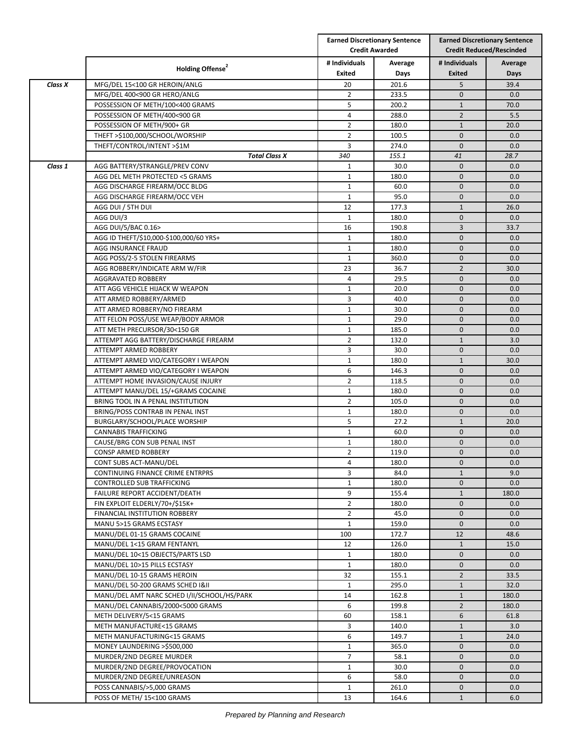|         |                                             |                         | <b>Earned Discretionary Sentence</b><br><b>Credit Awarded</b> |                                | <b>Earned Discretionary Sentence</b><br><b>Credit Reduced/Rescinded</b> |  |
|---------|---------------------------------------------|-------------------------|---------------------------------------------------------------|--------------------------------|-------------------------------------------------------------------------|--|
|         | Holding Offense <sup>2</sup>                | # Individuals<br>Exited | Average<br>Days                                               | # Individuals<br><b>Exited</b> | Average<br>Days                                                         |  |
| Class X | MFG/DEL 15<100 GR HEROIN/ANLG               | 20                      | 201.6                                                         | 5                              | 39.4                                                                    |  |
|         | MFG/DEL 400<900 GR HERO/ANLG                | $\overline{2}$          | 233.5                                                         | $\mathbf{0}$                   | 0.0                                                                     |  |
|         | POSSESSION OF METH/100<400 GRAMS            | 5                       | 200.2                                                         | $\mathbf{1}$                   | 70.0                                                                    |  |
|         | POSSESSION OF METH/400<900 GR               | 4                       | 288.0                                                         | $\overline{2}$                 | 5.5                                                                     |  |
|         | POSSESSION OF METH/900+ GR                  | $\overline{2}$          | 180.0                                                         | $\mathbf{1}$                   | 20.0                                                                    |  |
|         | THEFT >\$100,000/SCHOOL/WORSHIP             | $\overline{2}$          | 100.5                                                         | $\mathbf 0$                    | 0.0                                                                     |  |
|         | THEFT/CONTROL/INTENT >\$1M                  | 3                       | 274.0                                                         | $\mathbf{0}$                   | 0.0                                                                     |  |
|         |                                             |                         | 155.1                                                         |                                | 28.7                                                                    |  |
| Class 1 | <b>Total Class X</b>                        | 340                     | 30.0                                                          | 41<br>$\mathbf{0}$             |                                                                         |  |
|         | AGG BATTERY/STRANGLE/PREV CONV              | $\mathbf{1}$            |                                                               |                                | 0.0                                                                     |  |
|         | AGG DEL METH PROTECTED <5 GRAMS             | $\mathbf{1}$            | 180.0                                                         | $\mathbf{0}$<br>$\mathbf{0}$   | 0.0                                                                     |  |
|         | AGG DISCHARGE FIREARM/OCC BLDG              | $\mathbf{1}$            | 60.0                                                          |                                | 0.0                                                                     |  |
|         | AGG DISCHARGE FIREARM/OCC VEH               | $\mathbf{1}$            | 95.0                                                          | $\mathbf{0}$                   | 0.0                                                                     |  |
|         | AGG DUI / 5TH DUI                           | 12                      | 177.3                                                         | $\mathbf{1}$                   | 26.0                                                                    |  |
|         | AGG DUI/3                                   | $\mathbf{1}$            | 180.0                                                         | $\mathbf{0}$                   | 0.0                                                                     |  |
|         | AGG DUI/5/BAC 0.16>                         | 16                      | 190.8                                                         | $\overline{3}$                 | 33.7                                                                    |  |
|         | AGG ID THEFT/\$10,000-\$100,000/60 YRS+     | $\mathbf{1}$            | 180.0                                                         | $\mathbf{0}$                   | 0.0                                                                     |  |
|         | AGG INSURANCE FRAUD                         | $\mathbf{1}$            | 180.0                                                         | $\mathbf{0}$                   | 0.0                                                                     |  |
|         | AGG POSS/2-5 STOLEN FIREARMS                | $\mathbf{1}$            | 360.0                                                         | $\mathbf{0}$                   | 0.0                                                                     |  |
|         | AGG ROBBERY/INDICATE ARM W/FIR              | 23                      | 36.7                                                          | $\overline{2}$                 | 30.0                                                                    |  |
|         | AGGRAVATED ROBBERY                          | 4                       | 29.5                                                          | $\mathbf 0$                    | 0.0                                                                     |  |
|         | ATT AGG VEHICLE HIJACK W WEAPON             | $\mathbf{1}$            | 20.0                                                          | $\mathbf{0}$                   | 0.0                                                                     |  |
|         | ATT ARMED ROBBERY/ARMED                     | 3                       | 40.0                                                          | $\mathbf 0$                    | 0.0                                                                     |  |
|         | ATT ARMED ROBBERY/NO FIREARM                | $\mathbf{1}$            | 30.0                                                          | $\mathbf{0}$                   | 0.0                                                                     |  |
|         | ATT FELON POSS/USE WEAP/BODY ARMOR          | $\mathbf{1}$            | 29.0                                                          | $\mathbf{0}$                   | 0.0                                                                     |  |
|         | ATT METH PRECURSOR/30<150 GR                | $\mathbf{1}$            | 185.0                                                         | $\mathbf{0}$                   | 0.0                                                                     |  |
|         | ATTEMPT AGG BATTERY/DISCHARGE FIREARM       | $\overline{2}$          | 132.0                                                         | $\mathbf{1}$                   | 3.0                                                                     |  |
|         | ATTEMPT ARMED ROBBERY                       | 3                       | 30.0                                                          | $\mathbf{0}$                   | 0.0                                                                     |  |
|         | ATTEMPT ARMED VIO/CATEGORY I WEAPON         | $\mathbf{1}$            | 180.0                                                         | $\mathbf{1}$                   | 30.0                                                                    |  |
|         | ATTEMPT ARMED VIO/CATEGORY I WEAPON         | 6                       | 146.3                                                         | $\mathbf{0}$                   | 0.0                                                                     |  |
|         | ATTEMPT HOME INVASION/CAUSE INJURY          | $\overline{2}$          | 118.5                                                         | $\mathbf{0}$                   | 0.0                                                                     |  |
|         | ATTEMPT MANU/DEL 15/+GRAMS COCAINE          | $\mathbf{1}$            | 180.0                                                         | $\mathbf{0}$                   | 0.0                                                                     |  |
|         | BRING TOOL IN A PENAL INSTITUTION           | $\overline{2}$          | 105.0                                                         | $\mathbf{0}$                   | 0.0                                                                     |  |
|         | BRING/POSS CONTRAB IN PENAL INST            | $\mathbf{1}$            | 180.0                                                         | $\mathbf 0$                    | 0.0                                                                     |  |
|         | BURGLARY/SCHOOL/PLACE WORSHIP               | 5                       | 27.2                                                          | $\mathbf{1}$                   | 20.0                                                                    |  |
|         | <b>CANNABIS TRAFFICKING</b>                 | $\mathbf{1}$            | 60.0                                                          | $\mathbf{0}$                   | 0.0                                                                     |  |
|         | CAUSE/BRG CON SUB PENAL INST                | $\mathbf{1}$            | 180.0                                                         | $\mathbf{0}$                   | 0.0                                                                     |  |
|         | CONSP ARMED ROBBERY                         | $\overline{2}$          | 119.0                                                         | $\mathbf{0}$                   | 0.0                                                                     |  |
|         |                                             |                         |                                                               |                                |                                                                         |  |
|         | CONT SUBS ACT-MANU/DEL                      | 4                       | 180.0                                                         | $\mathbf 0$                    | 0.0                                                                     |  |
|         | CONTINUING FINANCE CRIME ENTRPRS            | 3                       | 84.0                                                          | $\mathbf{1}$                   | 9.0                                                                     |  |
|         | CONTROLLED SUB TRAFFICKING                  | $\mathbf{1}$            | 180.0                                                         | $\mathbf 0$                    | 0.0                                                                     |  |
|         | FAILURE REPORT ACCIDENT/DEATH               | 9                       | 155.4                                                         | $\mathbf{1}$                   | 180.0                                                                   |  |
|         | FIN EXPLOIT ELDERLY/70+/\$15K+              | $\overline{2}$          | 180.0                                                         | $\mathbf 0$                    | 0.0                                                                     |  |
|         | FINANCIAL INSTITUTION ROBBERY               | $\overline{2}$          | 45.0                                                          | $\mathbf 0$                    | 0.0                                                                     |  |
|         | MANU 5>15 GRAMS ECSTASY                     | $\mathbf{1}$            | 159.0                                                         | $\mathbf{0}$                   | 0.0                                                                     |  |
|         | MANU/DEL 01-15 GRAMS COCAINE                | 100                     | 172.7                                                         | 12                             | 48.6                                                                    |  |
|         | MANU/DEL 1<15 GRAM FENTANYL                 | 12                      | 126.0                                                         | $\mathbf{1}$                   | 15.0                                                                    |  |
|         | MANU/DEL 10<15 OBJECTS/PARTS LSD            | 1                       | 180.0                                                         | $\mathbf 0$                    | 0.0                                                                     |  |
|         | MANU/DEL 10>15 PILLS ECSTASY                | 1                       | 180.0                                                         | $\mathbf 0$                    | 0.0                                                                     |  |
|         | MANU/DEL 10-15 GRAMS HEROIN                 | 32                      | 155.1                                                         | $\overline{2}$                 | 33.5                                                                    |  |
|         | MANU/DEL 50-200 GRAMS SCHED I&II            | $\mathbf{1}$            | 295.0                                                         | $\mathbf 1$                    | 32.0                                                                    |  |
|         | MANU/DEL AMT NARC SCHED I/II/SCHOOL/HS/PARK | 14                      | 162.8                                                         | $\mathbf{1}$                   | 180.0                                                                   |  |
|         | MANU/DEL CANNABIS/2000<5000 GRAMS           | 6                       | 199.8                                                         | $\overline{2}$                 | 180.0                                                                   |  |
|         | METH DELIVERY/5<15 GRAMS                    | 60                      | 158.1                                                         | 6                              | 61.8                                                                    |  |
|         | METH MANUFACTURE<15 GRAMS                   | 3                       | 140.0                                                         | $\mathbf{1}$                   | 3.0                                                                     |  |
|         | METH MANUFACTURING<15 GRAMS                 | 6                       | 149.7                                                         | $\mathbf{1}$                   | 24.0                                                                    |  |
|         | MONEY LAUNDERING >\$500,000                 | $\mathbf{1}$            | 365.0                                                         | $\mathbf{0}$                   | 0.0                                                                     |  |
|         | MURDER/2ND DEGREE MURDER                    | $\overline{7}$          | 58.1                                                          | $\mathbf{0}$                   | 0.0                                                                     |  |
|         | MURDER/2ND DEGREE/PROVOCATION               | $\mathbf{1}$            | 30.0                                                          | $\mathbf 0$                    | 0.0                                                                     |  |
|         | MURDER/2ND DEGREE/UNREASON                  | 6                       | 58.0                                                          | $\mathbf 0$                    | 0.0                                                                     |  |
|         |                                             | $\mathbf{1}$            |                                                               | $\mathbf 0$                    |                                                                         |  |
|         | POSS CANNABIS/>5,000 GRAMS                  |                         | 261.0                                                         |                                | 0.0                                                                     |  |
|         | POSS OF METH/ 15<100 GRAMS                  | 13                      | 164.6                                                         | $\mathbf{1}$                   | 6.0                                                                     |  |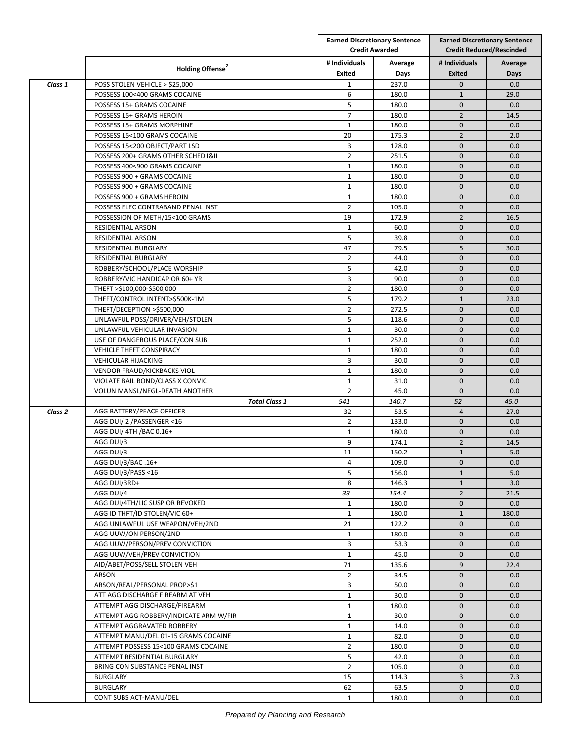| <b>Credit Awarded</b><br><b>Credit Reduced/Rescinded</b><br># Individuals<br># Individuals<br>Average<br>Average<br>Holding Offense <sup>2</sup><br>Exited<br><b>Exited</b><br>Days<br>Days<br>237.0<br>$\mathbf 0$<br>0.0<br>Class 1<br>POSS STOLEN VEHICLE > \$25,000<br>$\mathbf{1}$<br>POSSESS 100<400 GRAMS COCAINE<br>6<br>180.0<br>$\mathbf{1}$<br>29.0<br>5<br>180.0<br>$\mathbf{0}$<br>0.0<br>POSSESS 15+ GRAMS COCAINE<br>$\overline{7}$<br>$\overline{2}$<br>POSSESS 15+ GRAMS HEROIN<br>180.0<br>14.5<br>$\mathbf{1}$<br>$\mathbf{0}$<br>POSSESS 15+ GRAMS MORPHINE<br>180.0<br>0.0<br>$\overline{2}$<br>POSSESS 15<100 GRAMS COCAINE<br>20<br>175.3<br>2.0<br>POSSESS 15<200 OBJECT/PART LSD<br>3<br>128.0<br>$\mathbf{0}$<br>0.0<br>$\overline{2}$<br>$\mathbf{0}$<br>POSSESS 200+ GRAMS OTHER SCHED I&II<br>251.5<br>0.0<br>$\mathbf{0}$<br>0.0<br>POSSESS 400<900 GRAMS COCAINE<br>1<br>180.0<br>$\mathbf{1}$<br>180.0<br>$\mathbf{0}$<br>0.0<br>POSSESS 900 + GRAMS COCAINE<br>$\mathbf{1}$<br>$\mathbf{0}$<br>POSSESS 900 + GRAMS COCAINE<br>180.0<br>0.0<br>$\mathbf{1}$<br>$\mathbf{0}$<br>POSSESS 900 + GRAMS HEROIN<br>0.0<br>180.0<br>$\overline{2}$<br>POSSESS ELEC CONTRABAND PENAL INST<br>105.0<br>$\mathbf{0}$<br>0.0<br>POSSESSION OF METH/15<100 GRAMS<br>19<br>172.9<br>$\overline{2}$<br>16.5<br>$\mathbf{0}$<br>$\mathbf{1}$<br>0.0<br><b>RESIDENTIAL ARSON</b><br>60.0<br>5<br>$\mathbf 0$<br>0.0<br><b>RESIDENTIAL ARSON</b><br>39.8<br>5<br>47<br>79.5<br>30.0<br>RESIDENTIAL BURGLARY<br>RESIDENTIAL BURGLARY<br>$\overline{2}$<br>44.0<br>$\mathbf{0}$<br>0.0<br>5<br>$\mathbf{0}$<br>ROBBERY/SCHOOL/PLACE WORSHIP<br>42.0<br>0.0<br>3<br>$\mathbf{0}$<br>0.0<br>ROBBERY/VIC HANDICAP OR 60+ YR<br>90.0<br>$\overline{2}$<br>THEFT >\$100,000-\$500,000<br>180.0<br>$\mathbf{0}$<br>0.0<br>5<br>$\mathbf{1}$<br>THEFT/CONTROL INTENT>\$500K-1M<br>179.2<br>23.0<br>$\overline{2}$<br>$\mathbf{0}$<br>THEFT/DECEPTION >\$500,000<br>272.5<br>0.0<br>5<br>$\mathbf{0}$<br>UNLAWFUL POSS/DRIVER/VEH/STOLEN<br>0.0<br>118.6<br>UNLAWFUL VEHICULAR INVASION<br>$\mathbf{1}$<br>30.0<br>$\mathbf{0}$<br>0.0<br>$\mathbf{0}$<br>$\mathbf{1}$<br>252.0<br>0.0<br>USE OF DANGEROUS PLACE/CON SUB<br>$\mathbf{1}$<br>$\mathbf{0}$<br>0.0<br>VEHICLE THEFT CONSPIRACY<br>180.0<br>$\mathbf{0}$<br>3<br>30.0<br>0.0<br><b>VEHICULAR HIJACKING</b><br>$\mathbf{1}$<br>$\mathbf{0}$<br>VENDOR FRAUD/KICKBACKS VIOL<br>180.0<br>0.0<br>VIOLATE BAIL BOND/CLASS X CONVIC<br>$\mathbf{0}$<br>$\mathbf{1}$<br>31.0<br>0.0<br>45.0<br>$\mathbf 0$<br>0.0<br>VOLUN MANSL/NEGL-DEATH ANOTHER<br>2<br><b>Total Class 1</b><br>541<br>140.7<br>52<br>45.0<br>AGG BATTERY/PEACE OFFICER<br>32<br>53.5<br>$\overline{4}$<br>Class <sub>2</sub><br>27.0<br>$\overline{2}$<br>$\mathbf{0}$<br>AGG DUI/ 2 / PASSENGER <16<br>133.0<br>0.0<br>AGG DUI/ 4TH / BAC 0.16+<br>$\mathbf{1}$<br>180.0<br>$\mathbf{0}$<br>0.0<br>AGG DUI/3<br>9<br>174.1<br>$\overline{2}$<br>14.5<br>AGG DUI/3<br>11<br>$\mathbf{1}$<br>5.0<br>150.2<br>AGG DUI/3/BAC .16+<br>4<br>109.0<br>$\mathbf 0$<br>0.0<br>AGG DUI/3/PASS <16<br>5<br>156.0<br>$\mathbf{1}$<br>5.0<br>AGG DUI/3RD+<br>8<br>3.0<br>146.3<br>$\mathbf{1}$<br>$\overline{2}$<br>AGG DUI/4<br>33<br>154.4<br>21.5<br>AGG DUI/4TH/LIC SUSP OR REVOKED<br>$\mathbf 0$<br>0.0<br>1<br>180.0<br>AGG ID THFT/ID STOLEN/VIC 60+<br>$\mathbf{1}$<br>180.0<br>$\mathbf{1}$<br>180.0<br>AGG UNLAWFUL USE WEAPON/VEH/2ND<br>21<br>122.2<br>$\mathbf 0$<br>0.0<br>AGG UUW/ON PERSON/2ND<br>$\mathbf{1}$<br>$\mathbf{0}$<br>0.0<br>180.0<br>AGG UUW/PERSON/PREV CONVICTION<br>3<br>53.3<br>$\mathbf 0$<br>0.0<br>AGG UUW/VEH/PREV CONVICTION<br>45.0<br>$\mathbf{1}$<br>$\mathbf 0$<br>0.0<br>AID/ABET/POSS/SELL STOLEN VEH<br>71<br>9<br>22.4<br>135.6<br>ARSON<br>$\overline{2}$<br>34.5<br>$\mathbf{0}$<br>0.0<br>ARSON/REAL/PERSONAL PROP>\$1<br>3<br>50.0<br>$\mathbf 0$<br>0.0<br>$\mathbf{1}$<br>$\mathbf 0$<br>0.0<br>ATT AGG DISCHARGE FIREARM AT VEH<br>30.0<br>ATTEMPT AGG DISCHARGE/FIREARM<br>$\mathbf{1}$<br>180.0<br>0<br>0.0<br>ATTEMPT AGG ROBBERY/INDICATE ARM W/FIR<br>$\mathbf{1}$<br>30.0<br>$\mathbf 0$<br>0.0<br>ATTEMPT AGGRAVATED ROBBERY<br>$\mathbf 1$<br>$\mathbf 0$<br>0.0<br>14.0<br>ATTEMPT MANU/DEL 01-15 GRAMS COCAINE<br>$\mathbf{1}$<br>82.0<br>$\mathbf 0$<br>0.0<br>$\overline{2}$<br>ATTEMPT POSSESS 15<100 GRAMS COCAINE<br>180.0<br>$\mathbf{0}$<br>0.0<br>ATTEMPT RESIDENTIAL BURGLARY<br>5<br>42.0<br>$\mathbf 0$<br>0.0<br>BRING CON SUBSTANCE PENAL INST<br>$\overline{2}$<br>105.0<br>$\mathbf 0$<br>0.0<br>3<br>7.3<br><b>BURGLARY</b><br>15<br>114.3<br><b>BURGLARY</b><br>62<br>63.5<br>$\mathbf 0$<br>0.0<br>$\mathbf{0}$<br>0.0<br>$\mathbf{1}$<br>180.0 |                        | <b>Earned Discretionary Sentence</b> |  | <b>Earned Discretionary Sentence</b> |  |
|------------------------------------------------------------------------------------------------------------------------------------------------------------------------------------------------------------------------------------------------------------------------------------------------------------------------------------------------------------------------------------------------------------------------------------------------------------------------------------------------------------------------------------------------------------------------------------------------------------------------------------------------------------------------------------------------------------------------------------------------------------------------------------------------------------------------------------------------------------------------------------------------------------------------------------------------------------------------------------------------------------------------------------------------------------------------------------------------------------------------------------------------------------------------------------------------------------------------------------------------------------------------------------------------------------------------------------------------------------------------------------------------------------------------------------------------------------------------------------------------------------------------------------------------------------------------------------------------------------------------------------------------------------------------------------------------------------------------------------------------------------------------------------------------------------------------------------------------------------------------------------------------------------------------------------------------------------------------------------------------------------------------------------------------------------------------------------------------------------------------------------------------------------------------------------------------------------------------------------------------------------------------------------------------------------------------------------------------------------------------------------------------------------------------------------------------------------------------------------------------------------------------------------------------------------------------------------------------------------------------------------------------------------------------------------------------------------------------------------------------------------------------------------------------------------------------------------------------------------------------------------------------------------------------------------------------------------------------------------------------------------------------------------------------------------------------------------------------------------------------------------------------------------------------------------------------------------------------------------------------------------------------------------------------------------------------------------------------------------------------------------------------------------------------------------------------------------------------------------------------------------------------------------------------------------------------------------------------------------------------------------------------------------------------------------------------------------------------------------------------------------------------------------------------------------------------------------------------------------------------------------------------------------------------------------------------------------------------------------------------------------------------------------------------------------------------------------------------------------------------------------------------------------------------------------------------------------------------------------------------------------------------------------------------------------------------------------------------------------------------------------------------------------------------------------------------------------------------------------------------------------------------------------------------------------------------------------------------------------------------------------------------------------------------------------------------------------------------------------------------------|------------------------|--------------------------------------|--|--------------------------------------|--|
|                                                                                                                                                                                                                                                                                                                                                                                                                                                                                                                                                                                                                                                                                                                                                                                                                                                                                                                                                                                                                                                                                                                                                                                                                                                                                                                                                                                                                                                                                                                                                                                                                                                                                                                                                                                                                                                                                                                                                                                                                                                                                                                                                                                                                                                                                                                                                                                                                                                                                                                                                                                                                                                                                                                                                                                                                                                                                                                                                                                                                                                                                                                                                                                                                                                                                                                                                                                                                                                                                                                                                                                                                                                                                                                                                                                                                                                                                                                                                                                                                                                                                                                                                                                                                                                                                                                                                                                                                                                                                                                                                                                                                                                                                                                                                      |                        |                                      |  |                                      |  |
|                                                                                                                                                                                                                                                                                                                                                                                                                                                                                                                                                                                                                                                                                                                                                                                                                                                                                                                                                                                                                                                                                                                                                                                                                                                                                                                                                                                                                                                                                                                                                                                                                                                                                                                                                                                                                                                                                                                                                                                                                                                                                                                                                                                                                                                                                                                                                                                                                                                                                                                                                                                                                                                                                                                                                                                                                                                                                                                                                                                                                                                                                                                                                                                                                                                                                                                                                                                                                                                                                                                                                                                                                                                                                                                                                                                                                                                                                                                                                                                                                                                                                                                                                                                                                                                                                                                                                                                                                                                                                                                                                                                                                                                                                                                                                      |                        |                                      |  |                                      |  |
|                                                                                                                                                                                                                                                                                                                                                                                                                                                                                                                                                                                                                                                                                                                                                                                                                                                                                                                                                                                                                                                                                                                                                                                                                                                                                                                                                                                                                                                                                                                                                                                                                                                                                                                                                                                                                                                                                                                                                                                                                                                                                                                                                                                                                                                                                                                                                                                                                                                                                                                                                                                                                                                                                                                                                                                                                                                                                                                                                                                                                                                                                                                                                                                                                                                                                                                                                                                                                                                                                                                                                                                                                                                                                                                                                                                                                                                                                                                                                                                                                                                                                                                                                                                                                                                                                                                                                                                                                                                                                                                                                                                                                                                                                                                                                      |                        |                                      |  |                                      |  |
|                                                                                                                                                                                                                                                                                                                                                                                                                                                                                                                                                                                                                                                                                                                                                                                                                                                                                                                                                                                                                                                                                                                                                                                                                                                                                                                                                                                                                                                                                                                                                                                                                                                                                                                                                                                                                                                                                                                                                                                                                                                                                                                                                                                                                                                                                                                                                                                                                                                                                                                                                                                                                                                                                                                                                                                                                                                                                                                                                                                                                                                                                                                                                                                                                                                                                                                                                                                                                                                                                                                                                                                                                                                                                                                                                                                                                                                                                                                                                                                                                                                                                                                                                                                                                                                                                                                                                                                                                                                                                                                                                                                                                                                                                                                                                      |                        |                                      |  |                                      |  |
|                                                                                                                                                                                                                                                                                                                                                                                                                                                                                                                                                                                                                                                                                                                                                                                                                                                                                                                                                                                                                                                                                                                                                                                                                                                                                                                                                                                                                                                                                                                                                                                                                                                                                                                                                                                                                                                                                                                                                                                                                                                                                                                                                                                                                                                                                                                                                                                                                                                                                                                                                                                                                                                                                                                                                                                                                                                                                                                                                                                                                                                                                                                                                                                                                                                                                                                                                                                                                                                                                                                                                                                                                                                                                                                                                                                                                                                                                                                                                                                                                                                                                                                                                                                                                                                                                                                                                                                                                                                                                                                                                                                                                                                                                                                                                      |                        |                                      |  |                                      |  |
|                                                                                                                                                                                                                                                                                                                                                                                                                                                                                                                                                                                                                                                                                                                                                                                                                                                                                                                                                                                                                                                                                                                                                                                                                                                                                                                                                                                                                                                                                                                                                                                                                                                                                                                                                                                                                                                                                                                                                                                                                                                                                                                                                                                                                                                                                                                                                                                                                                                                                                                                                                                                                                                                                                                                                                                                                                                                                                                                                                                                                                                                                                                                                                                                                                                                                                                                                                                                                                                                                                                                                                                                                                                                                                                                                                                                                                                                                                                                                                                                                                                                                                                                                                                                                                                                                                                                                                                                                                                                                                                                                                                                                                                                                                                                                      |                        |                                      |  |                                      |  |
|                                                                                                                                                                                                                                                                                                                                                                                                                                                                                                                                                                                                                                                                                                                                                                                                                                                                                                                                                                                                                                                                                                                                                                                                                                                                                                                                                                                                                                                                                                                                                                                                                                                                                                                                                                                                                                                                                                                                                                                                                                                                                                                                                                                                                                                                                                                                                                                                                                                                                                                                                                                                                                                                                                                                                                                                                                                                                                                                                                                                                                                                                                                                                                                                                                                                                                                                                                                                                                                                                                                                                                                                                                                                                                                                                                                                                                                                                                                                                                                                                                                                                                                                                                                                                                                                                                                                                                                                                                                                                                                                                                                                                                                                                                                                                      |                        |                                      |  |                                      |  |
|                                                                                                                                                                                                                                                                                                                                                                                                                                                                                                                                                                                                                                                                                                                                                                                                                                                                                                                                                                                                                                                                                                                                                                                                                                                                                                                                                                                                                                                                                                                                                                                                                                                                                                                                                                                                                                                                                                                                                                                                                                                                                                                                                                                                                                                                                                                                                                                                                                                                                                                                                                                                                                                                                                                                                                                                                                                                                                                                                                                                                                                                                                                                                                                                                                                                                                                                                                                                                                                                                                                                                                                                                                                                                                                                                                                                                                                                                                                                                                                                                                                                                                                                                                                                                                                                                                                                                                                                                                                                                                                                                                                                                                                                                                                                                      |                        |                                      |  |                                      |  |
|                                                                                                                                                                                                                                                                                                                                                                                                                                                                                                                                                                                                                                                                                                                                                                                                                                                                                                                                                                                                                                                                                                                                                                                                                                                                                                                                                                                                                                                                                                                                                                                                                                                                                                                                                                                                                                                                                                                                                                                                                                                                                                                                                                                                                                                                                                                                                                                                                                                                                                                                                                                                                                                                                                                                                                                                                                                                                                                                                                                                                                                                                                                                                                                                                                                                                                                                                                                                                                                                                                                                                                                                                                                                                                                                                                                                                                                                                                                                                                                                                                                                                                                                                                                                                                                                                                                                                                                                                                                                                                                                                                                                                                                                                                                                                      |                        |                                      |  |                                      |  |
|                                                                                                                                                                                                                                                                                                                                                                                                                                                                                                                                                                                                                                                                                                                                                                                                                                                                                                                                                                                                                                                                                                                                                                                                                                                                                                                                                                                                                                                                                                                                                                                                                                                                                                                                                                                                                                                                                                                                                                                                                                                                                                                                                                                                                                                                                                                                                                                                                                                                                                                                                                                                                                                                                                                                                                                                                                                                                                                                                                                                                                                                                                                                                                                                                                                                                                                                                                                                                                                                                                                                                                                                                                                                                                                                                                                                                                                                                                                                                                                                                                                                                                                                                                                                                                                                                                                                                                                                                                                                                                                                                                                                                                                                                                                                                      |                        |                                      |  |                                      |  |
|                                                                                                                                                                                                                                                                                                                                                                                                                                                                                                                                                                                                                                                                                                                                                                                                                                                                                                                                                                                                                                                                                                                                                                                                                                                                                                                                                                                                                                                                                                                                                                                                                                                                                                                                                                                                                                                                                                                                                                                                                                                                                                                                                                                                                                                                                                                                                                                                                                                                                                                                                                                                                                                                                                                                                                                                                                                                                                                                                                                                                                                                                                                                                                                                                                                                                                                                                                                                                                                                                                                                                                                                                                                                                                                                                                                                                                                                                                                                                                                                                                                                                                                                                                                                                                                                                                                                                                                                                                                                                                                                                                                                                                                                                                                                                      |                        |                                      |  |                                      |  |
|                                                                                                                                                                                                                                                                                                                                                                                                                                                                                                                                                                                                                                                                                                                                                                                                                                                                                                                                                                                                                                                                                                                                                                                                                                                                                                                                                                                                                                                                                                                                                                                                                                                                                                                                                                                                                                                                                                                                                                                                                                                                                                                                                                                                                                                                                                                                                                                                                                                                                                                                                                                                                                                                                                                                                                                                                                                                                                                                                                                                                                                                                                                                                                                                                                                                                                                                                                                                                                                                                                                                                                                                                                                                                                                                                                                                                                                                                                                                                                                                                                                                                                                                                                                                                                                                                                                                                                                                                                                                                                                                                                                                                                                                                                                                                      |                        |                                      |  |                                      |  |
|                                                                                                                                                                                                                                                                                                                                                                                                                                                                                                                                                                                                                                                                                                                                                                                                                                                                                                                                                                                                                                                                                                                                                                                                                                                                                                                                                                                                                                                                                                                                                                                                                                                                                                                                                                                                                                                                                                                                                                                                                                                                                                                                                                                                                                                                                                                                                                                                                                                                                                                                                                                                                                                                                                                                                                                                                                                                                                                                                                                                                                                                                                                                                                                                                                                                                                                                                                                                                                                                                                                                                                                                                                                                                                                                                                                                                                                                                                                                                                                                                                                                                                                                                                                                                                                                                                                                                                                                                                                                                                                                                                                                                                                                                                                                                      |                        |                                      |  |                                      |  |
|                                                                                                                                                                                                                                                                                                                                                                                                                                                                                                                                                                                                                                                                                                                                                                                                                                                                                                                                                                                                                                                                                                                                                                                                                                                                                                                                                                                                                                                                                                                                                                                                                                                                                                                                                                                                                                                                                                                                                                                                                                                                                                                                                                                                                                                                                                                                                                                                                                                                                                                                                                                                                                                                                                                                                                                                                                                                                                                                                                                                                                                                                                                                                                                                                                                                                                                                                                                                                                                                                                                                                                                                                                                                                                                                                                                                                                                                                                                                                                                                                                                                                                                                                                                                                                                                                                                                                                                                                                                                                                                                                                                                                                                                                                                                                      |                        |                                      |  |                                      |  |
|                                                                                                                                                                                                                                                                                                                                                                                                                                                                                                                                                                                                                                                                                                                                                                                                                                                                                                                                                                                                                                                                                                                                                                                                                                                                                                                                                                                                                                                                                                                                                                                                                                                                                                                                                                                                                                                                                                                                                                                                                                                                                                                                                                                                                                                                                                                                                                                                                                                                                                                                                                                                                                                                                                                                                                                                                                                                                                                                                                                                                                                                                                                                                                                                                                                                                                                                                                                                                                                                                                                                                                                                                                                                                                                                                                                                                                                                                                                                                                                                                                                                                                                                                                                                                                                                                                                                                                                                                                                                                                                                                                                                                                                                                                                                                      |                        |                                      |  |                                      |  |
|                                                                                                                                                                                                                                                                                                                                                                                                                                                                                                                                                                                                                                                                                                                                                                                                                                                                                                                                                                                                                                                                                                                                                                                                                                                                                                                                                                                                                                                                                                                                                                                                                                                                                                                                                                                                                                                                                                                                                                                                                                                                                                                                                                                                                                                                                                                                                                                                                                                                                                                                                                                                                                                                                                                                                                                                                                                                                                                                                                                                                                                                                                                                                                                                                                                                                                                                                                                                                                                                                                                                                                                                                                                                                                                                                                                                                                                                                                                                                                                                                                                                                                                                                                                                                                                                                                                                                                                                                                                                                                                                                                                                                                                                                                                                                      |                        |                                      |  |                                      |  |
|                                                                                                                                                                                                                                                                                                                                                                                                                                                                                                                                                                                                                                                                                                                                                                                                                                                                                                                                                                                                                                                                                                                                                                                                                                                                                                                                                                                                                                                                                                                                                                                                                                                                                                                                                                                                                                                                                                                                                                                                                                                                                                                                                                                                                                                                                                                                                                                                                                                                                                                                                                                                                                                                                                                                                                                                                                                                                                                                                                                                                                                                                                                                                                                                                                                                                                                                                                                                                                                                                                                                                                                                                                                                                                                                                                                                                                                                                                                                                                                                                                                                                                                                                                                                                                                                                                                                                                                                                                                                                                                                                                                                                                                                                                                                                      |                        |                                      |  |                                      |  |
|                                                                                                                                                                                                                                                                                                                                                                                                                                                                                                                                                                                                                                                                                                                                                                                                                                                                                                                                                                                                                                                                                                                                                                                                                                                                                                                                                                                                                                                                                                                                                                                                                                                                                                                                                                                                                                                                                                                                                                                                                                                                                                                                                                                                                                                                                                                                                                                                                                                                                                                                                                                                                                                                                                                                                                                                                                                                                                                                                                                                                                                                                                                                                                                                                                                                                                                                                                                                                                                                                                                                                                                                                                                                                                                                                                                                                                                                                                                                                                                                                                                                                                                                                                                                                                                                                                                                                                                                                                                                                                                                                                                                                                                                                                                                                      |                        |                                      |  |                                      |  |
|                                                                                                                                                                                                                                                                                                                                                                                                                                                                                                                                                                                                                                                                                                                                                                                                                                                                                                                                                                                                                                                                                                                                                                                                                                                                                                                                                                                                                                                                                                                                                                                                                                                                                                                                                                                                                                                                                                                                                                                                                                                                                                                                                                                                                                                                                                                                                                                                                                                                                                                                                                                                                                                                                                                                                                                                                                                                                                                                                                                                                                                                                                                                                                                                                                                                                                                                                                                                                                                                                                                                                                                                                                                                                                                                                                                                                                                                                                                                                                                                                                                                                                                                                                                                                                                                                                                                                                                                                                                                                                                                                                                                                                                                                                                                                      |                        |                                      |  |                                      |  |
|                                                                                                                                                                                                                                                                                                                                                                                                                                                                                                                                                                                                                                                                                                                                                                                                                                                                                                                                                                                                                                                                                                                                                                                                                                                                                                                                                                                                                                                                                                                                                                                                                                                                                                                                                                                                                                                                                                                                                                                                                                                                                                                                                                                                                                                                                                                                                                                                                                                                                                                                                                                                                                                                                                                                                                                                                                                                                                                                                                                                                                                                                                                                                                                                                                                                                                                                                                                                                                                                                                                                                                                                                                                                                                                                                                                                                                                                                                                                                                                                                                                                                                                                                                                                                                                                                                                                                                                                                                                                                                                                                                                                                                                                                                                                                      |                        |                                      |  |                                      |  |
|                                                                                                                                                                                                                                                                                                                                                                                                                                                                                                                                                                                                                                                                                                                                                                                                                                                                                                                                                                                                                                                                                                                                                                                                                                                                                                                                                                                                                                                                                                                                                                                                                                                                                                                                                                                                                                                                                                                                                                                                                                                                                                                                                                                                                                                                                                                                                                                                                                                                                                                                                                                                                                                                                                                                                                                                                                                                                                                                                                                                                                                                                                                                                                                                                                                                                                                                                                                                                                                                                                                                                                                                                                                                                                                                                                                                                                                                                                                                                                                                                                                                                                                                                                                                                                                                                                                                                                                                                                                                                                                                                                                                                                                                                                                                                      |                        |                                      |  |                                      |  |
|                                                                                                                                                                                                                                                                                                                                                                                                                                                                                                                                                                                                                                                                                                                                                                                                                                                                                                                                                                                                                                                                                                                                                                                                                                                                                                                                                                                                                                                                                                                                                                                                                                                                                                                                                                                                                                                                                                                                                                                                                                                                                                                                                                                                                                                                                                                                                                                                                                                                                                                                                                                                                                                                                                                                                                                                                                                                                                                                                                                                                                                                                                                                                                                                                                                                                                                                                                                                                                                                                                                                                                                                                                                                                                                                                                                                                                                                                                                                                                                                                                                                                                                                                                                                                                                                                                                                                                                                                                                                                                                                                                                                                                                                                                                                                      |                        |                                      |  |                                      |  |
|                                                                                                                                                                                                                                                                                                                                                                                                                                                                                                                                                                                                                                                                                                                                                                                                                                                                                                                                                                                                                                                                                                                                                                                                                                                                                                                                                                                                                                                                                                                                                                                                                                                                                                                                                                                                                                                                                                                                                                                                                                                                                                                                                                                                                                                                                                                                                                                                                                                                                                                                                                                                                                                                                                                                                                                                                                                                                                                                                                                                                                                                                                                                                                                                                                                                                                                                                                                                                                                                                                                                                                                                                                                                                                                                                                                                                                                                                                                                                                                                                                                                                                                                                                                                                                                                                                                                                                                                                                                                                                                                                                                                                                                                                                                                                      |                        |                                      |  |                                      |  |
|                                                                                                                                                                                                                                                                                                                                                                                                                                                                                                                                                                                                                                                                                                                                                                                                                                                                                                                                                                                                                                                                                                                                                                                                                                                                                                                                                                                                                                                                                                                                                                                                                                                                                                                                                                                                                                                                                                                                                                                                                                                                                                                                                                                                                                                                                                                                                                                                                                                                                                                                                                                                                                                                                                                                                                                                                                                                                                                                                                                                                                                                                                                                                                                                                                                                                                                                                                                                                                                                                                                                                                                                                                                                                                                                                                                                                                                                                                                                                                                                                                                                                                                                                                                                                                                                                                                                                                                                                                                                                                                                                                                                                                                                                                                                                      |                        |                                      |  |                                      |  |
|                                                                                                                                                                                                                                                                                                                                                                                                                                                                                                                                                                                                                                                                                                                                                                                                                                                                                                                                                                                                                                                                                                                                                                                                                                                                                                                                                                                                                                                                                                                                                                                                                                                                                                                                                                                                                                                                                                                                                                                                                                                                                                                                                                                                                                                                                                                                                                                                                                                                                                                                                                                                                                                                                                                                                                                                                                                                                                                                                                                                                                                                                                                                                                                                                                                                                                                                                                                                                                                                                                                                                                                                                                                                                                                                                                                                                                                                                                                                                                                                                                                                                                                                                                                                                                                                                                                                                                                                                                                                                                                                                                                                                                                                                                                                                      |                        |                                      |  |                                      |  |
|                                                                                                                                                                                                                                                                                                                                                                                                                                                                                                                                                                                                                                                                                                                                                                                                                                                                                                                                                                                                                                                                                                                                                                                                                                                                                                                                                                                                                                                                                                                                                                                                                                                                                                                                                                                                                                                                                                                                                                                                                                                                                                                                                                                                                                                                                                                                                                                                                                                                                                                                                                                                                                                                                                                                                                                                                                                                                                                                                                                                                                                                                                                                                                                                                                                                                                                                                                                                                                                                                                                                                                                                                                                                                                                                                                                                                                                                                                                                                                                                                                                                                                                                                                                                                                                                                                                                                                                                                                                                                                                                                                                                                                                                                                                                                      |                        |                                      |  |                                      |  |
|                                                                                                                                                                                                                                                                                                                                                                                                                                                                                                                                                                                                                                                                                                                                                                                                                                                                                                                                                                                                                                                                                                                                                                                                                                                                                                                                                                                                                                                                                                                                                                                                                                                                                                                                                                                                                                                                                                                                                                                                                                                                                                                                                                                                                                                                                                                                                                                                                                                                                                                                                                                                                                                                                                                                                                                                                                                                                                                                                                                                                                                                                                                                                                                                                                                                                                                                                                                                                                                                                                                                                                                                                                                                                                                                                                                                                                                                                                                                                                                                                                                                                                                                                                                                                                                                                                                                                                                                                                                                                                                                                                                                                                                                                                                                                      |                        |                                      |  |                                      |  |
|                                                                                                                                                                                                                                                                                                                                                                                                                                                                                                                                                                                                                                                                                                                                                                                                                                                                                                                                                                                                                                                                                                                                                                                                                                                                                                                                                                                                                                                                                                                                                                                                                                                                                                                                                                                                                                                                                                                                                                                                                                                                                                                                                                                                                                                                                                                                                                                                                                                                                                                                                                                                                                                                                                                                                                                                                                                                                                                                                                                                                                                                                                                                                                                                                                                                                                                                                                                                                                                                                                                                                                                                                                                                                                                                                                                                                                                                                                                                                                                                                                                                                                                                                                                                                                                                                                                                                                                                                                                                                                                                                                                                                                                                                                                                                      |                        |                                      |  |                                      |  |
|                                                                                                                                                                                                                                                                                                                                                                                                                                                                                                                                                                                                                                                                                                                                                                                                                                                                                                                                                                                                                                                                                                                                                                                                                                                                                                                                                                                                                                                                                                                                                                                                                                                                                                                                                                                                                                                                                                                                                                                                                                                                                                                                                                                                                                                                                                                                                                                                                                                                                                                                                                                                                                                                                                                                                                                                                                                                                                                                                                                                                                                                                                                                                                                                                                                                                                                                                                                                                                                                                                                                                                                                                                                                                                                                                                                                                                                                                                                                                                                                                                                                                                                                                                                                                                                                                                                                                                                                                                                                                                                                                                                                                                                                                                                                                      |                        |                                      |  |                                      |  |
|                                                                                                                                                                                                                                                                                                                                                                                                                                                                                                                                                                                                                                                                                                                                                                                                                                                                                                                                                                                                                                                                                                                                                                                                                                                                                                                                                                                                                                                                                                                                                                                                                                                                                                                                                                                                                                                                                                                                                                                                                                                                                                                                                                                                                                                                                                                                                                                                                                                                                                                                                                                                                                                                                                                                                                                                                                                                                                                                                                                                                                                                                                                                                                                                                                                                                                                                                                                                                                                                                                                                                                                                                                                                                                                                                                                                                                                                                                                                                                                                                                                                                                                                                                                                                                                                                                                                                                                                                                                                                                                                                                                                                                                                                                                                                      |                        |                                      |  |                                      |  |
|                                                                                                                                                                                                                                                                                                                                                                                                                                                                                                                                                                                                                                                                                                                                                                                                                                                                                                                                                                                                                                                                                                                                                                                                                                                                                                                                                                                                                                                                                                                                                                                                                                                                                                                                                                                                                                                                                                                                                                                                                                                                                                                                                                                                                                                                                                                                                                                                                                                                                                                                                                                                                                                                                                                                                                                                                                                                                                                                                                                                                                                                                                                                                                                                                                                                                                                                                                                                                                                                                                                                                                                                                                                                                                                                                                                                                                                                                                                                                                                                                                                                                                                                                                                                                                                                                                                                                                                                                                                                                                                                                                                                                                                                                                                                                      |                        |                                      |  |                                      |  |
|                                                                                                                                                                                                                                                                                                                                                                                                                                                                                                                                                                                                                                                                                                                                                                                                                                                                                                                                                                                                                                                                                                                                                                                                                                                                                                                                                                                                                                                                                                                                                                                                                                                                                                                                                                                                                                                                                                                                                                                                                                                                                                                                                                                                                                                                                                                                                                                                                                                                                                                                                                                                                                                                                                                                                                                                                                                                                                                                                                                                                                                                                                                                                                                                                                                                                                                                                                                                                                                                                                                                                                                                                                                                                                                                                                                                                                                                                                                                                                                                                                                                                                                                                                                                                                                                                                                                                                                                                                                                                                                                                                                                                                                                                                                                                      |                        |                                      |  |                                      |  |
|                                                                                                                                                                                                                                                                                                                                                                                                                                                                                                                                                                                                                                                                                                                                                                                                                                                                                                                                                                                                                                                                                                                                                                                                                                                                                                                                                                                                                                                                                                                                                                                                                                                                                                                                                                                                                                                                                                                                                                                                                                                                                                                                                                                                                                                                                                                                                                                                                                                                                                                                                                                                                                                                                                                                                                                                                                                                                                                                                                                                                                                                                                                                                                                                                                                                                                                                                                                                                                                                                                                                                                                                                                                                                                                                                                                                                                                                                                                                                                                                                                                                                                                                                                                                                                                                                                                                                                                                                                                                                                                                                                                                                                                                                                                                                      |                        |                                      |  |                                      |  |
|                                                                                                                                                                                                                                                                                                                                                                                                                                                                                                                                                                                                                                                                                                                                                                                                                                                                                                                                                                                                                                                                                                                                                                                                                                                                                                                                                                                                                                                                                                                                                                                                                                                                                                                                                                                                                                                                                                                                                                                                                                                                                                                                                                                                                                                                                                                                                                                                                                                                                                                                                                                                                                                                                                                                                                                                                                                                                                                                                                                                                                                                                                                                                                                                                                                                                                                                                                                                                                                                                                                                                                                                                                                                                                                                                                                                                                                                                                                                                                                                                                                                                                                                                                                                                                                                                                                                                                                                                                                                                                                                                                                                                                                                                                                                                      |                        |                                      |  |                                      |  |
|                                                                                                                                                                                                                                                                                                                                                                                                                                                                                                                                                                                                                                                                                                                                                                                                                                                                                                                                                                                                                                                                                                                                                                                                                                                                                                                                                                                                                                                                                                                                                                                                                                                                                                                                                                                                                                                                                                                                                                                                                                                                                                                                                                                                                                                                                                                                                                                                                                                                                                                                                                                                                                                                                                                                                                                                                                                                                                                                                                                                                                                                                                                                                                                                                                                                                                                                                                                                                                                                                                                                                                                                                                                                                                                                                                                                                                                                                                                                                                                                                                                                                                                                                                                                                                                                                                                                                                                                                                                                                                                                                                                                                                                                                                                                                      |                        |                                      |  |                                      |  |
|                                                                                                                                                                                                                                                                                                                                                                                                                                                                                                                                                                                                                                                                                                                                                                                                                                                                                                                                                                                                                                                                                                                                                                                                                                                                                                                                                                                                                                                                                                                                                                                                                                                                                                                                                                                                                                                                                                                                                                                                                                                                                                                                                                                                                                                                                                                                                                                                                                                                                                                                                                                                                                                                                                                                                                                                                                                                                                                                                                                                                                                                                                                                                                                                                                                                                                                                                                                                                                                                                                                                                                                                                                                                                                                                                                                                                                                                                                                                                                                                                                                                                                                                                                                                                                                                                                                                                                                                                                                                                                                                                                                                                                                                                                                                                      |                        |                                      |  |                                      |  |
|                                                                                                                                                                                                                                                                                                                                                                                                                                                                                                                                                                                                                                                                                                                                                                                                                                                                                                                                                                                                                                                                                                                                                                                                                                                                                                                                                                                                                                                                                                                                                                                                                                                                                                                                                                                                                                                                                                                                                                                                                                                                                                                                                                                                                                                                                                                                                                                                                                                                                                                                                                                                                                                                                                                                                                                                                                                                                                                                                                                                                                                                                                                                                                                                                                                                                                                                                                                                                                                                                                                                                                                                                                                                                                                                                                                                                                                                                                                                                                                                                                                                                                                                                                                                                                                                                                                                                                                                                                                                                                                                                                                                                                                                                                                                                      |                        |                                      |  |                                      |  |
|                                                                                                                                                                                                                                                                                                                                                                                                                                                                                                                                                                                                                                                                                                                                                                                                                                                                                                                                                                                                                                                                                                                                                                                                                                                                                                                                                                                                                                                                                                                                                                                                                                                                                                                                                                                                                                                                                                                                                                                                                                                                                                                                                                                                                                                                                                                                                                                                                                                                                                                                                                                                                                                                                                                                                                                                                                                                                                                                                                                                                                                                                                                                                                                                                                                                                                                                                                                                                                                                                                                                                                                                                                                                                                                                                                                                                                                                                                                                                                                                                                                                                                                                                                                                                                                                                                                                                                                                                                                                                                                                                                                                                                                                                                                                                      |                        |                                      |  |                                      |  |
|                                                                                                                                                                                                                                                                                                                                                                                                                                                                                                                                                                                                                                                                                                                                                                                                                                                                                                                                                                                                                                                                                                                                                                                                                                                                                                                                                                                                                                                                                                                                                                                                                                                                                                                                                                                                                                                                                                                                                                                                                                                                                                                                                                                                                                                                                                                                                                                                                                                                                                                                                                                                                                                                                                                                                                                                                                                                                                                                                                                                                                                                                                                                                                                                                                                                                                                                                                                                                                                                                                                                                                                                                                                                                                                                                                                                                                                                                                                                                                                                                                                                                                                                                                                                                                                                                                                                                                                                                                                                                                                                                                                                                                                                                                                                                      |                        |                                      |  |                                      |  |
|                                                                                                                                                                                                                                                                                                                                                                                                                                                                                                                                                                                                                                                                                                                                                                                                                                                                                                                                                                                                                                                                                                                                                                                                                                                                                                                                                                                                                                                                                                                                                                                                                                                                                                                                                                                                                                                                                                                                                                                                                                                                                                                                                                                                                                                                                                                                                                                                                                                                                                                                                                                                                                                                                                                                                                                                                                                                                                                                                                                                                                                                                                                                                                                                                                                                                                                                                                                                                                                                                                                                                                                                                                                                                                                                                                                                                                                                                                                                                                                                                                                                                                                                                                                                                                                                                                                                                                                                                                                                                                                                                                                                                                                                                                                                                      |                        |                                      |  |                                      |  |
|                                                                                                                                                                                                                                                                                                                                                                                                                                                                                                                                                                                                                                                                                                                                                                                                                                                                                                                                                                                                                                                                                                                                                                                                                                                                                                                                                                                                                                                                                                                                                                                                                                                                                                                                                                                                                                                                                                                                                                                                                                                                                                                                                                                                                                                                                                                                                                                                                                                                                                                                                                                                                                                                                                                                                                                                                                                                                                                                                                                                                                                                                                                                                                                                                                                                                                                                                                                                                                                                                                                                                                                                                                                                                                                                                                                                                                                                                                                                                                                                                                                                                                                                                                                                                                                                                                                                                                                                                                                                                                                                                                                                                                                                                                                                                      |                        |                                      |  |                                      |  |
|                                                                                                                                                                                                                                                                                                                                                                                                                                                                                                                                                                                                                                                                                                                                                                                                                                                                                                                                                                                                                                                                                                                                                                                                                                                                                                                                                                                                                                                                                                                                                                                                                                                                                                                                                                                                                                                                                                                                                                                                                                                                                                                                                                                                                                                                                                                                                                                                                                                                                                                                                                                                                                                                                                                                                                                                                                                                                                                                                                                                                                                                                                                                                                                                                                                                                                                                                                                                                                                                                                                                                                                                                                                                                                                                                                                                                                                                                                                                                                                                                                                                                                                                                                                                                                                                                                                                                                                                                                                                                                                                                                                                                                                                                                                                                      |                        |                                      |  |                                      |  |
|                                                                                                                                                                                                                                                                                                                                                                                                                                                                                                                                                                                                                                                                                                                                                                                                                                                                                                                                                                                                                                                                                                                                                                                                                                                                                                                                                                                                                                                                                                                                                                                                                                                                                                                                                                                                                                                                                                                                                                                                                                                                                                                                                                                                                                                                                                                                                                                                                                                                                                                                                                                                                                                                                                                                                                                                                                                                                                                                                                                                                                                                                                                                                                                                                                                                                                                                                                                                                                                                                                                                                                                                                                                                                                                                                                                                                                                                                                                                                                                                                                                                                                                                                                                                                                                                                                                                                                                                                                                                                                                                                                                                                                                                                                                                                      |                        |                                      |  |                                      |  |
|                                                                                                                                                                                                                                                                                                                                                                                                                                                                                                                                                                                                                                                                                                                                                                                                                                                                                                                                                                                                                                                                                                                                                                                                                                                                                                                                                                                                                                                                                                                                                                                                                                                                                                                                                                                                                                                                                                                                                                                                                                                                                                                                                                                                                                                                                                                                                                                                                                                                                                                                                                                                                                                                                                                                                                                                                                                                                                                                                                                                                                                                                                                                                                                                                                                                                                                                                                                                                                                                                                                                                                                                                                                                                                                                                                                                                                                                                                                                                                                                                                                                                                                                                                                                                                                                                                                                                                                                                                                                                                                                                                                                                                                                                                                                                      |                        |                                      |  |                                      |  |
|                                                                                                                                                                                                                                                                                                                                                                                                                                                                                                                                                                                                                                                                                                                                                                                                                                                                                                                                                                                                                                                                                                                                                                                                                                                                                                                                                                                                                                                                                                                                                                                                                                                                                                                                                                                                                                                                                                                                                                                                                                                                                                                                                                                                                                                                                                                                                                                                                                                                                                                                                                                                                                                                                                                                                                                                                                                                                                                                                                                                                                                                                                                                                                                                                                                                                                                                                                                                                                                                                                                                                                                                                                                                                                                                                                                                                                                                                                                                                                                                                                                                                                                                                                                                                                                                                                                                                                                                                                                                                                                                                                                                                                                                                                                                                      |                        |                                      |  |                                      |  |
|                                                                                                                                                                                                                                                                                                                                                                                                                                                                                                                                                                                                                                                                                                                                                                                                                                                                                                                                                                                                                                                                                                                                                                                                                                                                                                                                                                                                                                                                                                                                                                                                                                                                                                                                                                                                                                                                                                                                                                                                                                                                                                                                                                                                                                                                                                                                                                                                                                                                                                                                                                                                                                                                                                                                                                                                                                                                                                                                                                                                                                                                                                                                                                                                                                                                                                                                                                                                                                                                                                                                                                                                                                                                                                                                                                                                                                                                                                                                                                                                                                                                                                                                                                                                                                                                                                                                                                                                                                                                                                                                                                                                                                                                                                                                                      |                        |                                      |  |                                      |  |
|                                                                                                                                                                                                                                                                                                                                                                                                                                                                                                                                                                                                                                                                                                                                                                                                                                                                                                                                                                                                                                                                                                                                                                                                                                                                                                                                                                                                                                                                                                                                                                                                                                                                                                                                                                                                                                                                                                                                                                                                                                                                                                                                                                                                                                                                                                                                                                                                                                                                                                                                                                                                                                                                                                                                                                                                                                                                                                                                                                                                                                                                                                                                                                                                                                                                                                                                                                                                                                                                                                                                                                                                                                                                                                                                                                                                                                                                                                                                                                                                                                                                                                                                                                                                                                                                                                                                                                                                                                                                                                                                                                                                                                                                                                                                                      |                        |                                      |  |                                      |  |
|                                                                                                                                                                                                                                                                                                                                                                                                                                                                                                                                                                                                                                                                                                                                                                                                                                                                                                                                                                                                                                                                                                                                                                                                                                                                                                                                                                                                                                                                                                                                                                                                                                                                                                                                                                                                                                                                                                                                                                                                                                                                                                                                                                                                                                                                                                                                                                                                                                                                                                                                                                                                                                                                                                                                                                                                                                                                                                                                                                                                                                                                                                                                                                                                                                                                                                                                                                                                                                                                                                                                                                                                                                                                                                                                                                                                                                                                                                                                                                                                                                                                                                                                                                                                                                                                                                                                                                                                                                                                                                                                                                                                                                                                                                                                                      |                        |                                      |  |                                      |  |
|                                                                                                                                                                                                                                                                                                                                                                                                                                                                                                                                                                                                                                                                                                                                                                                                                                                                                                                                                                                                                                                                                                                                                                                                                                                                                                                                                                                                                                                                                                                                                                                                                                                                                                                                                                                                                                                                                                                                                                                                                                                                                                                                                                                                                                                                                                                                                                                                                                                                                                                                                                                                                                                                                                                                                                                                                                                                                                                                                                                                                                                                                                                                                                                                                                                                                                                                                                                                                                                                                                                                                                                                                                                                                                                                                                                                                                                                                                                                                                                                                                                                                                                                                                                                                                                                                                                                                                                                                                                                                                                                                                                                                                                                                                                                                      |                        |                                      |  |                                      |  |
|                                                                                                                                                                                                                                                                                                                                                                                                                                                                                                                                                                                                                                                                                                                                                                                                                                                                                                                                                                                                                                                                                                                                                                                                                                                                                                                                                                                                                                                                                                                                                                                                                                                                                                                                                                                                                                                                                                                                                                                                                                                                                                                                                                                                                                                                                                                                                                                                                                                                                                                                                                                                                                                                                                                                                                                                                                                                                                                                                                                                                                                                                                                                                                                                                                                                                                                                                                                                                                                                                                                                                                                                                                                                                                                                                                                                                                                                                                                                                                                                                                                                                                                                                                                                                                                                                                                                                                                                                                                                                                                                                                                                                                                                                                                                                      |                        |                                      |  |                                      |  |
|                                                                                                                                                                                                                                                                                                                                                                                                                                                                                                                                                                                                                                                                                                                                                                                                                                                                                                                                                                                                                                                                                                                                                                                                                                                                                                                                                                                                                                                                                                                                                                                                                                                                                                                                                                                                                                                                                                                                                                                                                                                                                                                                                                                                                                                                                                                                                                                                                                                                                                                                                                                                                                                                                                                                                                                                                                                                                                                                                                                                                                                                                                                                                                                                                                                                                                                                                                                                                                                                                                                                                                                                                                                                                                                                                                                                                                                                                                                                                                                                                                                                                                                                                                                                                                                                                                                                                                                                                                                                                                                                                                                                                                                                                                                                                      |                        |                                      |  |                                      |  |
|                                                                                                                                                                                                                                                                                                                                                                                                                                                                                                                                                                                                                                                                                                                                                                                                                                                                                                                                                                                                                                                                                                                                                                                                                                                                                                                                                                                                                                                                                                                                                                                                                                                                                                                                                                                                                                                                                                                                                                                                                                                                                                                                                                                                                                                                                                                                                                                                                                                                                                                                                                                                                                                                                                                                                                                                                                                                                                                                                                                                                                                                                                                                                                                                                                                                                                                                                                                                                                                                                                                                                                                                                                                                                                                                                                                                                                                                                                                                                                                                                                                                                                                                                                                                                                                                                                                                                                                                                                                                                                                                                                                                                                                                                                                                                      |                        |                                      |  |                                      |  |
|                                                                                                                                                                                                                                                                                                                                                                                                                                                                                                                                                                                                                                                                                                                                                                                                                                                                                                                                                                                                                                                                                                                                                                                                                                                                                                                                                                                                                                                                                                                                                                                                                                                                                                                                                                                                                                                                                                                                                                                                                                                                                                                                                                                                                                                                                                                                                                                                                                                                                                                                                                                                                                                                                                                                                                                                                                                                                                                                                                                                                                                                                                                                                                                                                                                                                                                                                                                                                                                                                                                                                                                                                                                                                                                                                                                                                                                                                                                                                                                                                                                                                                                                                                                                                                                                                                                                                                                                                                                                                                                                                                                                                                                                                                                                                      |                        |                                      |  |                                      |  |
|                                                                                                                                                                                                                                                                                                                                                                                                                                                                                                                                                                                                                                                                                                                                                                                                                                                                                                                                                                                                                                                                                                                                                                                                                                                                                                                                                                                                                                                                                                                                                                                                                                                                                                                                                                                                                                                                                                                                                                                                                                                                                                                                                                                                                                                                                                                                                                                                                                                                                                                                                                                                                                                                                                                                                                                                                                                                                                                                                                                                                                                                                                                                                                                                                                                                                                                                                                                                                                                                                                                                                                                                                                                                                                                                                                                                                                                                                                                                                                                                                                                                                                                                                                                                                                                                                                                                                                                                                                                                                                                                                                                                                                                                                                                                                      |                        |                                      |  |                                      |  |
|                                                                                                                                                                                                                                                                                                                                                                                                                                                                                                                                                                                                                                                                                                                                                                                                                                                                                                                                                                                                                                                                                                                                                                                                                                                                                                                                                                                                                                                                                                                                                                                                                                                                                                                                                                                                                                                                                                                                                                                                                                                                                                                                                                                                                                                                                                                                                                                                                                                                                                                                                                                                                                                                                                                                                                                                                                                                                                                                                                                                                                                                                                                                                                                                                                                                                                                                                                                                                                                                                                                                                                                                                                                                                                                                                                                                                                                                                                                                                                                                                                                                                                                                                                                                                                                                                                                                                                                                                                                                                                                                                                                                                                                                                                                                                      |                        |                                      |  |                                      |  |
|                                                                                                                                                                                                                                                                                                                                                                                                                                                                                                                                                                                                                                                                                                                                                                                                                                                                                                                                                                                                                                                                                                                                                                                                                                                                                                                                                                                                                                                                                                                                                                                                                                                                                                                                                                                                                                                                                                                                                                                                                                                                                                                                                                                                                                                                                                                                                                                                                                                                                                                                                                                                                                                                                                                                                                                                                                                                                                                                                                                                                                                                                                                                                                                                                                                                                                                                                                                                                                                                                                                                                                                                                                                                                                                                                                                                                                                                                                                                                                                                                                                                                                                                                                                                                                                                                                                                                                                                                                                                                                                                                                                                                                                                                                                                                      |                        |                                      |  |                                      |  |
|                                                                                                                                                                                                                                                                                                                                                                                                                                                                                                                                                                                                                                                                                                                                                                                                                                                                                                                                                                                                                                                                                                                                                                                                                                                                                                                                                                                                                                                                                                                                                                                                                                                                                                                                                                                                                                                                                                                                                                                                                                                                                                                                                                                                                                                                                                                                                                                                                                                                                                                                                                                                                                                                                                                                                                                                                                                                                                                                                                                                                                                                                                                                                                                                                                                                                                                                                                                                                                                                                                                                                                                                                                                                                                                                                                                                                                                                                                                                                                                                                                                                                                                                                                                                                                                                                                                                                                                                                                                                                                                                                                                                                                                                                                                                                      |                        |                                      |  |                                      |  |
|                                                                                                                                                                                                                                                                                                                                                                                                                                                                                                                                                                                                                                                                                                                                                                                                                                                                                                                                                                                                                                                                                                                                                                                                                                                                                                                                                                                                                                                                                                                                                                                                                                                                                                                                                                                                                                                                                                                                                                                                                                                                                                                                                                                                                                                                                                                                                                                                                                                                                                                                                                                                                                                                                                                                                                                                                                                                                                                                                                                                                                                                                                                                                                                                                                                                                                                                                                                                                                                                                                                                                                                                                                                                                                                                                                                                                                                                                                                                                                                                                                                                                                                                                                                                                                                                                                                                                                                                                                                                                                                                                                                                                                                                                                                                                      |                        |                                      |  |                                      |  |
|                                                                                                                                                                                                                                                                                                                                                                                                                                                                                                                                                                                                                                                                                                                                                                                                                                                                                                                                                                                                                                                                                                                                                                                                                                                                                                                                                                                                                                                                                                                                                                                                                                                                                                                                                                                                                                                                                                                                                                                                                                                                                                                                                                                                                                                                                                                                                                                                                                                                                                                                                                                                                                                                                                                                                                                                                                                                                                                                                                                                                                                                                                                                                                                                                                                                                                                                                                                                                                                                                                                                                                                                                                                                                                                                                                                                                                                                                                                                                                                                                                                                                                                                                                                                                                                                                                                                                                                                                                                                                                                                                                                                                                                                                                                                                      |                        |                                      |  |                                      |  |
|                                                                                                                                                                                                                                                                                                                                                                                                                                                                                                                                                                                                                                                                                                                                                                                                                                                                                                                                                                                                                                                                                                                                                                                                                                                                                                                                                                                                                                                                                                                                                                                                                                                                                                                                                                                                                                                                                                                                                                                                                                                                                                                                                                                                                                                                                                                                                                                                                                                                                                                                                                                                                                                                                                                                                                                                                                                                                                                                                                                                                                                                                                                                                                                                                                                                                                                                                                                                                                                                                                                                                                                                                                                                                                                                                                                                                                                                                                                                                                                                                                                                                                                                                                                                                                                                                                                                                                                                                                                                                                                                                                                                                                                                                                                                                      |                        |                                      |  |                                      |  |
|                                                                                                                                                                                                                                                                                                                                                                                                                                                                                                                                                                                                                                                                                                                                                                                                                                                                                                                                                                                                                                                                                                                                                                                                                                                                                                                                                                                                                                                                                                                                                                                                                                                                                                                                                                                                                                                                                                                                                                                                                                                                                                                                                                                                                                                                                                                                                                                                                                                                                                                                                                                                                                                                                                                                                                                                                                                                                                                                                                                                                                                                                                                                                                                                                                                                                                                                                                                                                                                                                                                                                                                                                                                                                                                                                                                                                                                                                                                                                                                                                                                                                                                                                                                                                                                                                                                                                                                                                                                                                                                                                                                                                                                                                                                                                      |                        |                                      |  |                                      |  |
|                                                                                                                                                                                                                                                                                                                                                                                                                                                                                                                                                                                                                                                                                                                                                                                                                                                                                                                                                                                                                                                                                                                                                                                                                                                                                                                                                                                                                                                                                                                                                                                                                                                                                                                                                                                                                                                                                                                                                                                                                                                                                                                                                                                                                                                                                                                                                                                                                                                                                                                                                                                                                                                                                                                                                                                                                                                                                                                                                                                                                                                                                                                                                                                                                                                                                                                                                                                                                                                                                                                                                                                                                                                                                                                                                                                                                                                                                                                                                                                                                                                                                                                                                                                                                                                                                                                                                                                                                                                                                                                                                                                                                                                                                                                                                      |                        |                                      |  |                                      |  |
|                                                                                                                                                                                                                                                                                                                                                                                                                                                                                                                                                                                                                                                                                                                                                                                                                                                                                                                                                                                                                                                                                                                                                                                                                                                                                                                                                                                                                                                                                                                                                                                                                                                                                                                                                                                                                                                                                                                                                                                                                                                                                                                                                                                                                                                                                                                                                                                                                                                                                                                                                                                                                                                                                                                                                                                                                                                                                                                                                                                                                                                                                                                                                                                                                                                                                                                                                                                                                                                                                                                                                                                                                                                                                                                                                                                                                                                                                                                                                                                                                                                                                                                                                                                                                                                                                                                                                                                                                                                                                                                                                                                                                                                                                                                                                      | CONT SUBS ACT-MANU/DEL |                                      |  |                                      |  |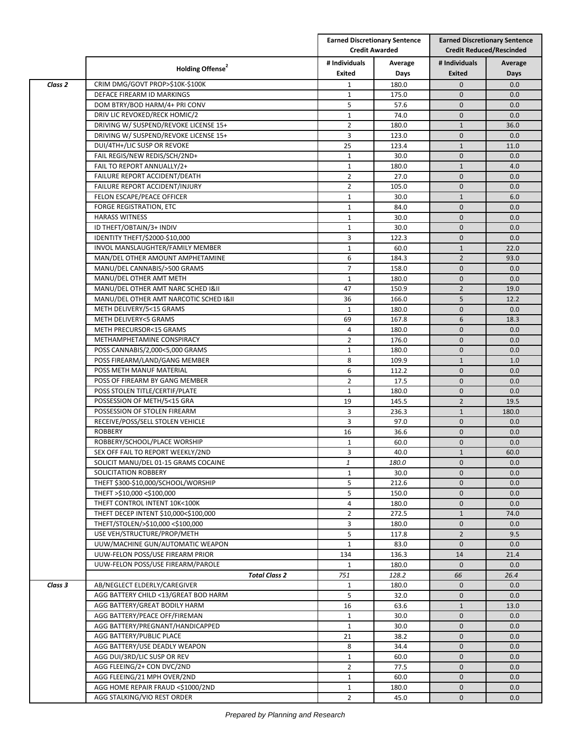|                    |                                                              |                     | <b>Earned Discretionary Sentence</b><br><b>Credit Awarded</b> |                              | <b>Earned Discretionary Sentence</b><br><b>Credit Reduced/Rescinded</b> |  |
|--------------------|--------------------------------------------------------------|---------------------|---------------------------------------------------------------|------------------------------|-------------------------------------------------------------------------|--|
|                    | Holding Offense <sup>2</sup>                                 | # Individuals       | Average                                                       | # Individuals                | Average                                                                 |  |
|                    |                                                              | Exited              | Days                                                          | Exited                       | Days                                                                    |  |
| Class <sub>2</sub> | CRIM DMG/GOVT PROP>\$10K-\$100K                              | $\mathbf{1}$        | 180.0                                                         | $\mathbf{0}$                 | 0.0                                                                     |  |
|                    | DEFACE FIREARM ID MARKINGS                                   | $\mathbf{1}$        | 175.0                                                         | $\mathbf{0}$                 | 0.0                                                                     |  |
|                    | DOM BTRY/BOD HARM/4+ PRI CONV                                | 5                   | 57.6                                                          | 0                            | 0.0                                                                     |  |
|                    | DRIV LIC REVOKED/RECK HOMIC/2                                | $\mathbf{1}$        | 74.0                                                          | $\mathbf 0$                  | 0.0                                                                     |  |
|                    | DRIVING W/ SUSPEND/REVOKE LICENSE 15+                        | $\overline{2}$      | 180.0                                                         | $\mathbf{1}$                 | 36.0                                                                    |  |
|                    | DRIVING W/ SUSPEND/REVOKE LICENSE 15+                        | 3                   | 123.0                                                         | $\mathbf{0}$                 | 0.0                                                                     |  |
|                    | DUI/4TH+/LIC SUSP OR REVOKE<br>FAIL REGIS/NEW REDIS/SCH/2ND+ | 25                  | 123.4                                                         | $\mathbf{1}$                 | 11.0                                                                    |  |
|                    | FAIL TO REPORT ANNUALLY/2+                                   | $\mathbf{1}$        | 30.0<br>180.0                                                 | $\mathbf{0}$                 | 0.0<br>4.0                                                              |  |
|                    | FAILURE REPORT ACCIDENT/DEATH                                | 1<br>$\overline{2}$ | 27.0                                                          | $\mathbf{1}$<br>$\mathbf{0}$ | 0.0                                                                     |  |
|                    | FAILURE REPORT ACCIDENT/INJURY                               | $\overline{2}$      | 105.0                                                         | $\overline{0}$               | 0.0                                                                     |  |
|                    | FELON ESCAPE/PEACE OFFICER                                   | $\mathbf{1}$        | 30.0                                                          | $\mathbf{1}$                 | 6.0                                                                     |  |
|                    | FORGE REGISTRATION, ETC                                      | $\mathbf{1}$        | 84.0                                                          | $\mathbf{0}$                 | 0.0                                                                     |  |
|                    | <b>HARASS WITNESS</b>                                        | $\mathbf{1}$        | 30.0                                                          | $\mathbf{0}$                 | 0.0                                                                     |  |
|                    | ID THEFT/OBTAIN/3+ INDIV                                     |                     |                                                               | 0                            | 0.0                                                                     |  |
|                    | IDENTITY THEFT/\$2000-\$10,000                               | 1<br>3              | 30.0<br>122.3                                                 | $\mathbf{0}$                 | 0.0                                                                     |  |
|                    | INVOL MANSLAUGHTER/FAMILY MEMBER                             | $\mathbf{1}$        | 60.0                                                          | $\mathbf{1}$                 | 22.0                                                                    |  |
|                    | MAN/DEL OTHER AMOUNT AMPHETAMINE                             | 6                   | 184.3                                                         | $\overline{2}$               | 93.0                                                                    |  |
|                    | MANU/DEL CANNABIS/>500 GRAMS                                 | $\overline{7}$      | 158.0                                                         | $\mathbf{0}$                 | 0.0                                                                     |  |
|                    | MANU/DEL OTHER AMT METH                                      | 1                   | 180.0                                                         | 0                            | 0.0                                                                     |  |
|                    | MANU/DEL OTHER AMT NARC SCHED I&II                           | 47                  | 150.9                                                         | $\overline{2}$               | 19.0                                                                    |  |
|                    | MANU/DEL OTHER AMT NARCOTIC SCHED I&II                       | 36                  | 166.0                                                         | 5                            | 12.2                                                                    |  |
|                    | METH DELIVERY/5<15 GRAMS                                     | $\mathbf{1}$        | 180.0                                                         | $\mathbf{0}$                 | 0.0                                                                     |  |
|                    | METH DELIVERY<5 GRAMS                                        | 69                  | 167.8                                                         | 6                            | 18.3                                                                    |  |
|                    | METH PRECURSOR<15 GRAMS                                      | $\overline{4}$      | 180.0                                                         | $\mathbf{0}$                 | 0.0                                                                     |  |
|                    | METHAMPHETAMINE CONSPIRACY                                   | $\overline{2}$      | 176.0                                                         | 0                            | 0.0                                                                     |  |
|                    | POSS CANNABIS/2,000<5,000 GRAMS                              | $\mathbf{1}$        | 180.0                                                         | $\mathbf{0}$                 | 0.0                                                                     |  |
|                    | POSS FIREARM/LAND/GANG MEMBER                                | 8                   | 109.9                                                         | $\mathbf{1}$                 | 1.0                                                                     |  |
|                    | POSS METH MANUF MATERIAL                                     | 6                   | 112.2                                                         | $\mathbf{0}$                 | 0.0                                                                     |  |
|                    | POSS OF FIREARM BY GANG MEMBER                               | $\overline{2}$      | 17.5                                                          | $\mathbf{0}$                 | 0.0                                                                     |  |
|                    | POSS STOLEN TITLE/CERTIF/PLATE                               | 1                   | 180.0                                                         | 0                            | 0.0                                                                     |  |
|                    | POSSESSION OF METH/5<15 GRA                                  | 19                  | 145.5                                                         | $\overline{2}$               | 19.5                                                                    |  |
|                    | POSSESSION OF STOLEN FIREARM                                 | 3                   | 236.3                                                         | $\mathbf{1}$                 | 180.0                                                                   |  |
|                    | RECEIVE/POSS/SELL STOLEN VEHICLE                             | 3                   | 97.0                                                          | $\mathbf{0}$                 | 0.0                                                                     |  |
|                    | <b>ROBBERY</b>                                               | 16                  | 36.6                                                          | 0                            | 0.0                                                                     |  |
|                    | ROBBERY/SCHOOL/PLACE WORSHIP                                 | $\mathbf{1}$        | 60.0                                                          | 0                            | 0.0                                                                     |  |
|                    | SEX OFF FAIL TO REPORT WEEKLY/2ND                            | 3                   | 40.0                                                          | $\mathbf{1}$                 | 60.0                                                                    |  |
|                    | SOLICIT MANU/DEL 01-15 GRAMS COCAINE                         | 1                   | 180.0                                                         | $\mathbf 0$                  | 0.0                                                                     |  |
|                    | SOLICITATION ROBBERY                                         | $\mathbf{1}$        | 30.0                                                          | $\overline{0}$               | 0.0                                                                     |  |
|                    | THEFT \$300-\$10,000/SCHOOL/WORSHIP                          | 5                   | 212.6                                                         | 0                            | 0.0                                                                     |  |
|                    | THEFT >\$10,000 <\$100,000                                   | 5                   | 150.0                                                         | 0                            | 0.0                                                                     |  |
|                    | THEFT CONTROL INTENT 10K<100K                                | 4                   | 180.0                                                         | 0                            | 0.0                                                                     |  |
|                    | THEFT DECEP INTENT \$10,000<\$100,000                        | $\overline{2}$      | 272.5                                                         | $\mathbf{1}$                 | 74.0                                                                    |  |
|                    | THEFT/STOLEN/>\$10,000 <\$100,000                            | 3                   | 180.0                                                         | 0                            | 0.0                                                                     |  |
|                    | USE VEH/STRUCTURE/PROP/METH                                  | 5                   | 117.8                                                         | $\overline{2}$               | 9.5                                                                     |  |
|                    | UUW/MACHINE GUN/AUTOMATIC WEAPON                             | $\mathbf{1}$        | 83.0                                                          | $\mathbf 0$                  | 0.0                                                                     |  |
|                    | UUW-FELON POSS/USE FIREARM PRIOR                             | 134                 | 136.3                                                         | 14                           | 21.4                                                                    |  |
|                    | UUW-FELON POSS/USE FIREARM/PAROLE                            | $\mathbf{1}$        | 180.0                                                         | $\mathbf 0$                  | 0.0                                                                     |  |
|                    | <b>Total Class 2</b>                                         | 751                 | 128.2                                                         | 66                           | 26.4                                                                    |  |
| Class 3            | AB/NEGLECT ELDERLY/CAREGIVER                                 | $\mathbf{1}$        | 180.0                                                         | $\mathbf{0}$                 | 0.0                                                                     |  |
|                    | AGG BATTERY CHILD <13/GREAT BOD HARM                         | 5                   | 32.0                                                          | $\mathbf 0$                  | 0.0                                                                     |  |
|                    | AGG BATTERY/GREAT BODILY HARM                                | 16                  | 63.6                                                          | $\mathbf{1}$                 | 13.0                                                                    |  |
|                    | AGG BATTERY/PEACE OFF/FIREMAN                                | $\mathbf{1}$        | 30.0                                                          | 0                            | 0.0                                                                     |  |
|                    | AGG BATTERY/PREGNANT/HANDICAPPED                             | 1                   | 30.0                                                          | 0                            | 0.0                                                                     |  |
|                    | AGG BATTERY/PUBLIC PLACE                                     | 21                  | 38.2                                                          | 0                            | 0.0                                                                     |  |
|                    | AGG BATTERY/USE DEADLY WEAPON                                | 8                   | 34.4                                                          | $\mathbf 0$                  | 0.0                                                                     |  |
|                    | AGG DUI/3RD/LIC SUSP OR REV                                  | $\mathbf{1}$        | 60.0                                                          | $\mathbf 0$                  | 0.0                                                                     |  |
|                    | AGG FLEEING/2+ CON DVC/2ND                                   | $\overline{2}$      | 77.5                                                          | 0                            | 0.0                                                                     |  |
|                    | AGG FLEEING/21 MPH OVER/2ND                                  | $\mathbf{1}$        | 60.0                                                          | $\mathbf 0$                  | 0.0                                                                     |  |
|                    | AGG HOME REPAIR FRAUD <\$1000/2ND                            | $\mathbf{1}$        | 180.0                                                         | $\mathbf 0$                  | 0.0                                                                     |  |
|                    | AGG STALKING/VIO REST ORDER                                  | $\overline{2}$      | 45.0                                                          | $\mathbf 0$                  | 0.0                                                                     |  |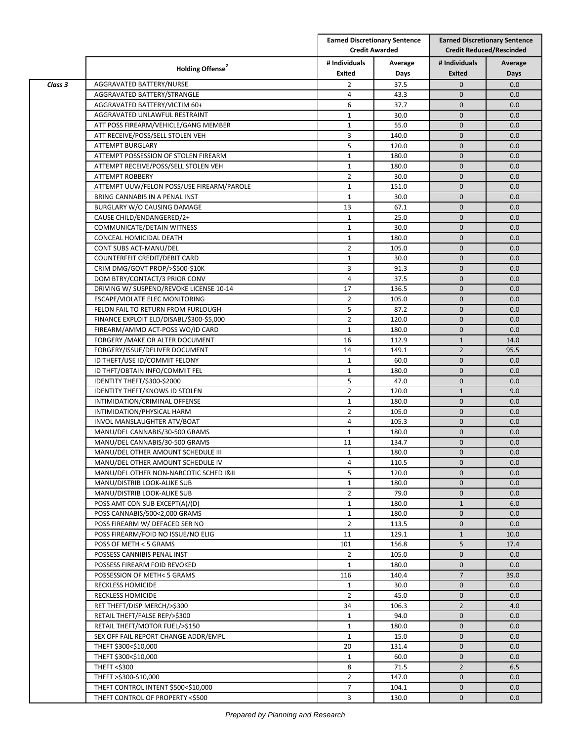|         |                                           |                                | <b>Earned Discretionary Sentence</b><br><b>Credit Awarded</b> | <b>Earned Discretionary Sentence</b><br><b>Credit Reduced/Rescinded</b> |         |
|---------|-------------------------------------------|--------------------------------|---------------------------------------------------------------|-------------------------------------------------------------------------|---------|
|         | Holding Offense <sup>2</sup>              | # Individuals                  | Average                                                       | # Individuals                                                           | Average |
|         |                                           | Exited                         | Days                                                          | <b>Exited</b>                                                           | Days    |
| Class 3 | AGGRAVATED BATTERY/NURSE                  | $\overline{2}$                 | 37.5                                                          | $\mathbf{0}$                                                            | 0.0     |
|         | AGGRAVATED BATTERY/STRANGLE               | 4                              | 43.3                                                          | $\mathbf{0}$                                                            | 0.0     |
|         | AGGRAVATED BATTERY/VICTIM 60+             | 6                              | 37.7                                                          | $\mathbf{0}$                                                            | 0.0     |
|         | AGGRAVATED UNLAWFUL RESTRAINT             | $\mathbf{1}$                   | 30.0                                                          | $\mathbf{0}$                                                            | 0.0     |
|         | ATT POSS FIREARM/VEHICLE/GANG MEMBER      | $\mathbf{1}$                   | 55.0                                                          | $\mathbf 0$                                                             | 0.0     |
|         | ATT RECEIVE/POSS/SELL STOLEN VEH          | 3                              | 140.0                                                         | $\mathbf{0}$                                                            | 0.0     |
|         | ATTEMPT BURGLARY                          | 5                              | 120.0                                                         | $\mathbf{0}$                                                            | 0.0     |
|         | ATTEMPT POSSESSION OF STOLEN FIREARM      | $\mathbf{1}$                   | 180.0                                                         | $\mathbf{0}$                                                            | 0.0     |
|         | ATTEMPT RECEIVE/POSS/SELL STOLEN VEH      | 1                              | 180.0                                                         | $\mathbf 0$                                                             | 0.0     |
|         | <b>ATTEMPT ROBBERY</b>                    | $\overline{2}$                 | 30.0                                                          | $\mathbf{0}$                                                            | 0.0     |
|         | ATTEMPT UUW/FELON POSS/USE FIREARM/PAROLE | $\mathbf{1}$                   | 151.0                                                         | $\mathbf{0}$                                                            | 0.0     |
|         | BRING CANNABIS IN A PENAL INST            | $\mathbf{1}$                   | 30.0                                                          | $\mathbf{0}$                                                            | 0.0     |
|         | BURGLARY W/O CAUSING DAMAGE               | 13                             | 67.1                                                          | $\mathbf{0}$                                                            | 0.0     |
|         | CAUSE CHILD/ENDANGERED/2+                 | $\mathbf{1}$                   | 25.0                                                          | $\mathbf{0}$                                                            | 0.0     |
|         | COMMUNICATE/DETAIN WITNESS                | $\mathbf{1}$                   | 30.0                                                          | $\mathbf 0$                                                             | 0.0     |
|         | CONCEAL HOMICIDAL DEATH                   | $\mathbf{1}$                   | 180.0                                                         | $\mathbf 0$                                                             | 0.0     |
|         | CONT SUBS ACT-MANU/DEL                    | $\overline{2}$                 | 105.0                                                         | $\mathbf{0}$                                                            | 0.0     |
|         | COUNTERFEIT CREDIT/DEBIT CARD             | 1                              | 30.0                                                          | $\mathbf{0}$                                                            | 0.0     |
|         | CRIM DMG/GOVT PROP/>\$500-\$10K           | 3                              | 91.3                                                          | $\mathbf{0}$                                                            | 0.0     |
|         | DOM BTRY/CONTACT/3 PRIOR CONV             | 4                              | 37.5                                                          | $\mathbf{0}$                                                            | 0.0     |
|         | DRIVING W/ SUSPEND/REVOKE LICENSE 10-14   | 17                             | 136.5                                                         | $\mathbf{0}$                                                            | 0.0     |
|         | ESCAPE/VIOLATE ELEC MONITORING            | $\overline{2}$                 | 105.0                                                         | $\mathbf{0}$                                                            | 0.0     |
|         | FELON FAIL TO RETURN FROM FURLOUGH        | 5                              | 87.2                                                          | $\mathbf{0}$                                                            | 0.0     |
|         | FINANCE EXPLOIT ELD/DISABL/\$300-\$5,000  | $\overline{2}$                 | 120.0                                                         | $\mathbf{0}$                                                            | 0.0     |
|         | FIREARM/AMMO ACT-POSS WO/ID CARD          | $\mathbf{1}$                   | 180.0                                                         | $\mathbf{0}$                                                            | 0.0     |
|         | FORGERY / MAKE OR ALTER DOCUMENT          | 16                             | 112.9                                                         | $\mathbf{1}$                                                            | 14.0    |
|         | FORGERY/ISSUE/DELIVER DOCUMENT            | 14                             | 149.1                                                         | $\overline{2}$                                                          | 95.5    |
|         | ID THEFT/USE ID/COMMIT FELONY             | $\mathbf{1}$                   | 60.0                                                          | $\mathbf{0}$                                                            | 0.0     |
|         | ID THFT/OBTAIN INFO/COMMIT FEL            | $\mathbf{1}$                   | 180.0                                                         | $\mathbf{0}$                                                            | 0.0     |
|         |                                           | 5                              | 47.0                                                          | $\mathbf{0}$                                                            |         |
|         | IDENTITY THEFT/\$300-\$2000               | $\overline{2}$                 | 120.0                                                         |                                                                         | 0.0     |
|         | <b>IDENTITY THEFT/KNOWS ID STOLEN</b>     |                                |                                                               | $\mathbf{1}$<br>$\mathbf{0}$                                            | 9.0     |
|         | INTIMIDATION/CRIMINAL OFFENSE             | $\mathbf{1}$<br>$\overline{2}$ | 180.0                                                         | $\mathbf{0}$                                                            | 0.0     |
|         | INTIMIDATION/PHYSICAL HARM                |                                | 105.0                                                         |                                                                         | 0.0     |
|         | INVOL MANSLAUGHTER ATV/BOAT               | 4                              | 105.3                                                         | $\mathbf 0$                                                             | 0.0     |
|         | MANU/DEL CANNABIS/30-500 GRAMS            | $\mathbf{1}$                   | 180.0                                                         | $\mathbf{0}$                                                            | 0.0     |
|         | MANU/DEL CANNABIS/30-500 GRAMS            | 11                             | 134.7                                                         | $\mathbf{0}$                                                            | 0.0     |
|         | MANU/DEL OTHER AMOUNT SCHEDULE III        | $\mathbf{1}$                   | 180.0                                                         | $\mathbf{0}$                                                            | 0.0     |
|         | MANU/DEL OTHER AMOUNT SCHEDULE IV         | 4                              | 110.5                                                         | $\mathbf{0}$                                                            | 0.0     |
|         | MANU/DEL OTHER NON-NARCOTIC SCHED I&II    | 5                              | 120.0                                                         | $\mathbf{0}$                                                            | 0.0     |
|         | MANU/DISTRIB LOOK-ALIKE SUB               | $\mathbf{1}$                   | 180.0                                                         | $\mathbf{0}$                                                            | 0.0     |
|         | MANU/DISTRIB LOOK-ALIKE SUB               | $\overline{2}$                 | 79.0                                                          | $\mathbf 0$                                                             | 0.0     |
|         | POSS AMT CON SUB EXCEPT(A)/(D)            | 1                              | 180.0                                                         | $\mathbf{1}$                                                            | 6.0     |
|         | POSS CANNABIS/500<2,000 GRAMS             | $\mathbf{1}$                   | 180.0                                                         | $\mathbf{0}$                                                            | 0.0     |
|         | POSS FIREARM W/ DEFACED SER NO            | $\overline{2}$                 | 113.5                                                         | $\mathbf{0}$                                                            | 0.0     |
|         | POSS FIREARM/FOID NO ISSUE/NO ELIG        | 11                             | 129.1                                                         | $\mathbf{1}$                                                            | 10.0    |
|         | POSS OF METH < 5 GRAMS                    | 101                            | 156.8                                                         | 5                                                                       | 17.4    |
|         | POSSESS CANNIBIS PENAL INST               | $\overline{2}$                 | 105.0                                                         | $\mathbf{0}$                                                            | 0.0     |
|         | POSSESS FIREARM FOID REVOKED              | $\mathbf{1}$                   | 180.0                                                         | $\mathbf 0$                                                             | 0.0     |
|         | POSSESSION OF METH< 5 GRAMS               | 116                            | 140.4                                                         | $\overline{7}$                                                          | 39.0    |
|         | <b>RECKLESS HOMICIDE</b>                  | $\mathbf{1}$                   | 30.0                                                          | $\mathbf{0}$                                                            | 0.0     |
|         | <b>RECKLESS HOMICIDE</b>                  | $\overline{2}$                 | 45.0                                                          | $\mathbf 0$                                                             | 0.0     |
|         | RET THEFT/DISP MERCH/>\$300               | 34                             | 106.3                                                         | $\overline{2}$                                                          | 4.0     |
|         | RETAIL THEFT/FALSE REP/>\$300             | $\mathbf{1}$                   | 94.0                                                          | $\mathbf{0}$                                                            | 0.0     |
|         | RETAIL THEFT/MOTOR FUEL/>\$150            | $\mathbf{1}$                   | 180.0                                                         | $\mathbf 0$                                                             | 0.0     |
|         | SEX OFF FAIL REPORT CHANGE ADDR/EMPL      | $\mathbf{1}$                   | 15.0                                                          | $\mathbf 0$                                                             | 0.0     |
|         | THEFT \$300<\$10,000                      | 20                             | 131.4                                                         | $\mathbf{0}$                                                            | 0.0     |
|         | THEFT \$300<\$10,000                      | $\mathbf{1}$                   | 60.0                                                          | $\mathbf{0}$                                                            | 0.0     |
|         | THEFT <\$300                              | 8                              | 71.5                                                          | $\overline{2}$                                                          | 6.5     |
|         | THEFT >\$300-\$10,000                     | $\overline{2}$                 | 147.0                                                         | $\mathbf 0$                                                             | 0.0     |
|         | THEFT CONTROL INTENT \$500<\$10,000       | $\overline{7}$                 | 104.1                                                         | $\mathbf 0$                                                             | 0.0     |
|         | THEFT CONTROL OF PROPERTY <\$500          | 3                              | 130.0                                                         | $\mathbf{0}$                                                            | 0.0     |
|         |                                           |                                |                                                               |                                                                         |         |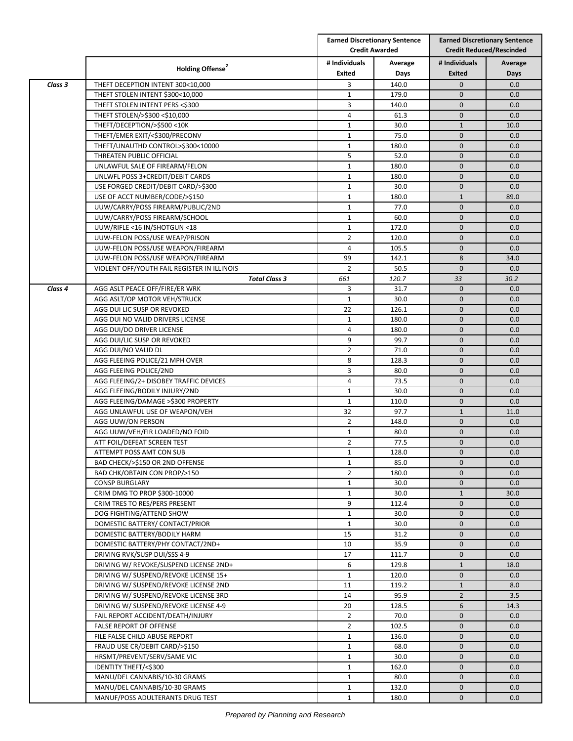|         |                                                                  |                | <b>Earned Discretionary Sentence</b><br><b>Credit Awarded</b> |                              | <b>Earned Discretionary Sentence</b><br><b>Credit Reduced/Rescinded</b> |  |
|---------|------------------------------------------------------------------|----------------|---------------------------------------------------------------|------------------------------|-------------------------------------------------------------------------|--|
|         | Holding Offense <sup>2</sup>                                     | # Individuals  | Average                                                       | # Individuals                | Average                                                                 |  |
|         |                                                                  | Exited         | Days                                                          | <b>Exited</b>                | Days                                                                    |  |
| Class 3 | THEFT DECEPTION INTENT 300<10,000                                | 3              | 140.0                                                         | $\mathbf{0}$                 | 0.0                                                                     |  |
|         | THEFT STOLEN INTENT \$300<10,000                                 | $\mathbf{1}$   | 179.0<br>140.0                                                | $\mathbf{0}$<br>$\mathbf{0}$ | 0.0<br>0.0                                                              |  |
|         | THEFT STOLEN INTENT PERS <\$300<br>THEFT STOLEN/>\$300 <\$10,000 | 3<br>4         | 61.3                                                          | $\mathbf 0$                  | 0.0                                                                     |  |
|         | THEFT/DECEPTION/>\$500<10K                                       | $\mathbf{1}$   | 30.0                                                          | $\mathbf{1}$                 | 10.0                                                                    |  |
|         | THEFT/EMER EXIT/<\$300/PRECONV                                   | $\mathbf{1}$   | 75.0                                                          | $\mathbf 0$                  | 0.0                                                                     |  |
|         | THEFT/UNAUTHD CONTROL>\$300<10000                                | $\mathbf{1}$   | 180.0                                                         | $\mathbf{0}$                 | 0.0                                                                     |  |
|         | THREATEN PUBLIC OFFICIAL                                         | 5              | 52.0                                                          | $\mathbf{0}$                 | 0.0                                                                     |  |
|         | UNLAWFUL SALE OF FIREARM/FELON                                   | $\mathbf{1}$   | 180.0                                                         | $\mathbf{0}$                 | 0.0                                                                     |  |
|         | UNLWFL POSS 3+CREDIT/DEBIT CARDS                                 | $\mathbf{1}$   | 180.0                                                         | $\mathbf 0$                  | 0.0                                                                     |  |
|         | USE FORGED CREDIT/DEBIT CARD/>\$300                              | $\mathbf{1}$   | 30.0                                                          | $\mathbf{0}$                 | 0.0                                                                     |  |
|         | USE OF ACCT NUMBER/CODE/>\$150                                   | $\mathbf{1}$   | 180.0                                                         | $\mathbf 1$                  | 89.0                                                                    |  |
|         | UUW/CARRY/POSS FIREARM/PUBLIC/2ND                                | $\mathbf{1}$   | 77.0                                                          | $\mathbf{0}$                 | 0.0                                                                     |  |
|         | UUW/CARRY/POSS FIREARM/SCHOOL                                    | $\mathbf{1}$   | 60.0                                                          | $\mathbf{0}$                 | 0.0                                                                     |  |
|         | UUW/RIFLE <16 IN/SHOTGUN <18                                     | $\mathbf{1}$   | 172.0                                                         | $\mathbf 0$                  | 0.0                                                                     |  |
|         | UUW-FELON POSS/USE WEAP/PRISON                                   | $\overline{2}$ | 120.0                                                         | $\mathbf{0}$                 | 0.0                                                                     |  |
|         | UUW-FELON POSS/USE WEAPON/FIREARM                                | $\overline{4}$ | 105.5                                                         | $\mathbf{0}$                 | 0.0                                                                     |  |
|         | UUW-FELON POSS/USE WEAPON/FIREARM                                | 99             | 142.1                                                         | 8                            | 34.0                                                                    |  |
|         | VIOLENT OFF/YOUTH FAIL REGISTER IN ILLINOIS                      | $\overline{2}$ | 50.5                                                          | $\mathbf{0}$                 | 0.0                                                                     |  |
|         | <b>Total Class 3</b>                                             | 661            | 120.7                                                         | 33                           | 30.2                                                                    |  |
| Class 4 | AGG ASLT PEACE OFF/FIRE/ER WRK                                   | 3              | 31.7                                                          | $\mathbf{0}$                 | 0.0                                                                     |  |
|         | AGG ASLT/OP MOTOR VEH/STRUCK                                     | $\mathbf{1}$   | 30.0                                                          | $\mathbf 0$                  | 0.0                                                                     |  |
|         | AGG DUI LIC SUSP OR REVOKED                                      | 22             | 126.1                                                         | $\mathbf{0}$                 | 0.0                                                                     |  |
|         | AGG DUI NO VALID DRIVERS LICENSE                                 | $\mathbf{1}$   | 180.0                                                         | $\mathbf{0}$                 | 0.0                                                                     |  |
|         | AGG DUI/DO DRIVER LICENSE                                        | $\overline{4}$ | 180.0                                                         | $\mathbf{0}$                 | 0.0                                                                     |  |
|         | AGG DUI/LIC SUSP OR REVOKED                                      | 9              | 99.7                                                          | $\mathbf 0$                  | 0.0                                                                     |  |
|         | AGG DUI/NO VALID DL                                              | $\overline{2}$ | 71.0                                                          | $\mathbf{0}$                 | 0.0                                                                     |  |
|         | AGG FLEEING POLICE/21 MPH OVER                                   | 8              | 128.3                                                         | $\mathbf{0}$                 | 0.0                                                                     |  |
|         | AGG FLEEING POLICE/2ND                                           | 3              | 80.0                                                          | $\mathbf{0}$                 | 0.0                                                                     |  |
|         | AGG FLEEING/2+ DISOBEY TRAFFIC DEVICES                           | 4              | 73.5                                                          | $\mathbf{0}$                 | 0.0                                                                     |  |
|         | AGG FLEEING/BODILY INJURY/2ND                                    | $\mathbf{1}$   | 30.0                                                          | $\mathbf{0}$                 | 0.0                                                                     |  |
|         | AGG FLEEING/DAMAGE >\$300 PROPERTY                               | $\mathbf{1}$   | 110.0                                                         | $\mathbf 0$                  | 0.0                                                                     |  |
|         | AGG UNLAWFUL USE OF WEAPON/VEH                                   | 32             | 97.7                                                          | $\mathbf{1}$                 | 11.0                                                                    |  |
|         | AGG UUW/ON PERSON                                                | $\overline{2}$ | 148.0                                                         | $\mathbf{0}$                 | 0.0                                                                     |  |
|         | AGG UUW/VEH/FIR LOADED/NO FOID                                   | $\mathbf{1}$   | 80.0                                                          | $\mathbf{0}$                 | 0.0                                                                     |  |
|         | ATT FOIL/DEFEAT SCREEN TEST                                      | $\mathbf{2}$   | 77.5                                                          | $\mathbf 0$                  | 0.0                                                                     |  |
|         | ATTEMPT POSS AMT CON SUB                                         | $\mathbf{1}$   | 128.0                                                         | $\mathbf{0}$                 | 0.0                                                                     |  |
|         | BAD CHECK/>\$150 OR 2ND OFFENSE                                  | $\mathbf{1}$   | 85.0                                                          | $\mathbf 0$                  | 0.0                                                                     |  |
|         | BAD CHK/OBTAIN CON PROP/>150                                     | $\overline{2}$ | 180.0                                                         | $\mathbf 0$                  | 0.0                                                                     |  |
|         | <b>CONSP BURGLARY</b>                                            | $\mathbf{1}$   | 30.0                                                          | $\mathbf 0$                  | 0.0                                                                     |  |
|         | CRIM DMG TO PROP \$300-10000                                     | $\mathbf{1}$   | 30.0                                                          | $\mathbf{1}$                 | 30.0                                                                    |  |
|         | CRIM TRES TO RES/PERS PRESENT                                    | 9              | 112.4                                                         | $\mathbf 0$                  | 0.0                                                                     |  |
|         | DOG FIGHTING/ATTEND SHOW                                         | $\mathbf{1}$   | 30.0                                                          | $\mathbf 0$                  | 0.0                                                                     |  |
|         | DOMESTIC BATTERY/ CONTACT/PRIOR                                  | $\mathbf{1}$   | 30.0                                                          | $\mathbf 0$                  | 0.0                                                                     |  |
|         | DOMESTIC BATTERY/BODILY HARM                                     | 15             | 31.2                                                          | $\mathbf 0$                  | 0.0                                                                     |  |
|         | DOMESTIC BATTERY/PHY CONTACT/2ND+                                | 10             | 35.9                                                          | $\mathbf 0$                  | 0.0                                                                     |  |
|         | DRIVING RVK/SUSP DUI/SSS 4-9                                     | 17             | 111.7                                                         | $\mathbf 0$                  | 0.0                                                                     |  |
|         | DRIVING W/ REVOKE/SUSPEND LICENSE 2ND+                           | 6              | 129.8                                                         | $\mathbf{1}$                 | 18.0                                                                    |  |
|         | DRIVING W/ SUSPEND/REVOKE LICENSE 15+                            | $\mathbf{1}$   | 120.0                                                         | $\mathbf 0$                  | 0.0                                                                     |  |
|         | DRIVING W/ SUSPEND/REVOKE LICENSE 2ND                            | 11             | 119.2                                                         | $\mathbf{1}$                 | 8.0                                                                     |  |
|         | DRIVING W/ SUSPEND/REVOKE LICENSE 3RD                            | 14             | 95.9                                                          | $\overline{2}$               | 3.5                                                                     |  |
|         | DRIVING W/ SUSPEND/REVOKE LICENSE 4-9                            | 20             | 128.5                                                         | 6                            | 14.3                                                                    |  |
|         | FAIL REPORT ACCIDENT/DEATH/INJURY                                | $\overline{2}$ | 70.0                                                          | $\mathbf 0$                  | 0.0                                                                     |  |
|         | <b>FALSE REPORT OF OFFENSE</b>                                   | $\overline{2}$ | 102.5                                                         | $\mathbf 0$                  | 0.0                                                                     |  |
|         | FILE FALSE CHILD ABUSE REPORT                                    | $\mathbf{1}$   | 136.0                                                         | $\mathbf 0$                  | 0.0                                                                     |  |
|         | FRAUD USE CR/DEBIT CARD/>\$150                                   | $\mathbf{1}$   | 68.0                                                          | $\mathbf{0}$                 | 0.0                                                                     |  |
|         | HRSMT/PREVENT/SERV/SAME VIC                                      | $\mathbf{1}$   | 30.0                                                          | $\mathbf 0$                  | 0.0                                                                     |  |
|         | IDENTITY THEFT/<\$300                                            | $\mathbf{1}$   | 162.0                                                         | $\mathbf 0$                  | 0.0                                                                     |  |
|         | MANU/DEL CANNABIS/10-30 GRAMS                                    | $\mathbf{1}$   | 80.0                                                          | $\mathbf 0$                  | 0.0                                                                     |  |
|         | MANU/DEL CANNABIS/10-30 GRAMS                                    | $\mathbf{1}$   | 132.0                                                         | $\mathbf 0$                  | 0.0                                                                     |  |
|         | MANUF/POSS ADULTERANTS DRUG TEST                                 | $\mathbf{1}$   | 180.0                                                         | 0                            | 0.0                                                                     |  |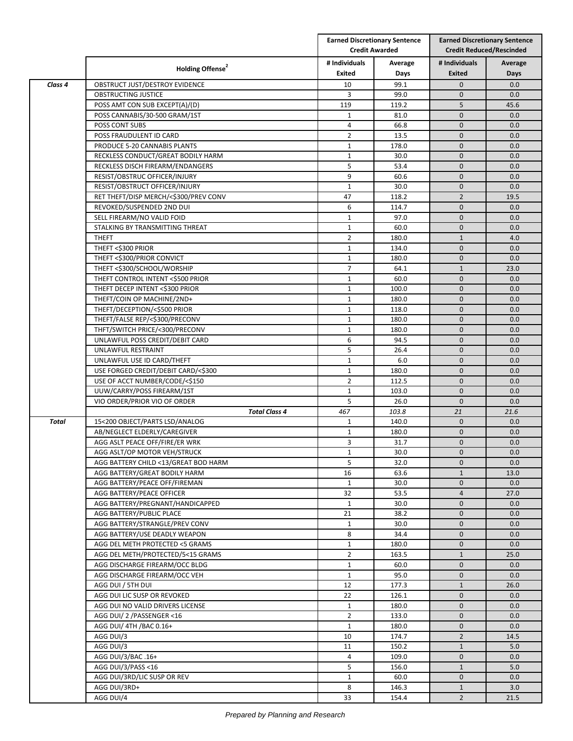|              |                                       |                | <b>Earned Discretionary Sentence</b><br><b>Credit Awarded</b> |                | <b>Earned Discretionary Sentence</b><br><b>Credit Reduced/Rescinded</b> |  |
|--------------|---------------------------------------|----------------|---------------------------------------------------------------|----------------|-------------------------------------------------------------------------|--|
|              | Holding Offense <sup>2</sup>          | # Individuals  | Average                                                       | # Individuals  | Average                                                                 |  |
|              |                                       | <b>Exited</b>  | Days                                                          | <b>Exited</b>  | Days                                                                    |  |
| Class 4      | OBSTRUCT JUST/DESTROY EVIDENCE        | 10             | 99.1                                                          | $\mathbf{0}$   | 0.0                                                                     |  |
|              | OBSTRUCTING JUSTICE                   | 3              | 99.0                                                          | $\mathbf{0}$   | 0.0                                                                     |  |
|              | POSS AMT CON SUB EXCEPT(A)/(D)        | 119            | 119.2                                                         | 5              | 45.6                                                                    |  |
|              | POSS CANNABIS/30-500 GRAM/1ST         | $\mathbf{1}$   | 81.0                                                          | $\mathbf 0$    | 0.0                                                                     |  |
|              | POSS CONT SUBS                        | 4              | 66.8                                                          | $\mathbf 0$    | 0.0                                                                     |  |
|              | POSS FRAUDULENT ID CARD               | $\overline{2}$ | 13.5                                                          | $\mathbf{0}$   | 0.0                                                                     |  |
|              | PRODUCE 5-20 CANNABIS PLANTS          | $\mathbf{1}$   | 178.0                                                         | $\mathbf{0}$   | 0.0                                                                     |  |
|              | RECKLESS CONDUCT/GREAT BODILY HARM    | $\mathbf{1}$   | 30.0                                                          | $\mathbf{0}$   | 0.0                                                                     |  |
|              | RECKLESS DISCH FIREARM/ENDANGERS      | 5              | 53.4                                                          | $\mathbf 0$    | 0.0                                                                     |  |
|              | RESIST/OBSTRUC OFFICER/INJURY         | 9              | 60.6                                                          | $\mathbf{0}$   | 0.0                                                                     |  |
|              | RESIST/OBSTRUCT OFFICER/INJURY        | $\mathbf{1}$   | 30.0                                                          | $\mathbf 0$    | 0.0                                                                     |  |
|              | RET THEFT/DISP MERCH/<\$300/PREV CONV | 47             | 118.2                                                         | $\overline{2}$ | 19.5                                                                    |  |
|              | REVOKED/SUSPENDED 2ND DUI             | 6              | 114.7                                                         | $\mathbf{0}$   | 0.0                                                                     |  |
|              | SELL FIREARM/NO VALID FOID            | $\mathbf{1}$   | 97.0                                                          | $\mathbf{0}$   | 0.0                                                                     |  |
|              | STALKING BY TRANSMITTING THREAT       | $\mathbf{1}$   | 60.0                                                          | $\mathbf 0$    | 0.0                                                                     |  |
|              | <b>THEFT</b>                          | $\overline{2}$ | 180.0                                                         | $\mathbf{1}$   | 4.0                                                                     |  |
|              | THEFT <\$300 PRIOR                    | $\mathbf{1}$   | 134.0                                                         | $\mathbf{0}$   | 0.0                                                                     |  |
|              | THEFT <\$300/PRIOR CONVICT            | $\mathbf{1}$   | 180.0                                                         | $\mathbf{0}$   | 0.0                                                                     |  |
|              | THEFT <\$300/SCHOOL/WORSHIP           | $\overline{7}$ | 64.1                                                          | $\mathbf{1}$   | 23.0                                                                    |  |
|              | THEFT CONTROL INTENT <\$500 PRIOR     | $\mathbf{1}$   | 60.0                                                          | $\mathbf 0$    | 0.0                                                                     |  |
|              | THEFT DECEP INTENT <\$300 PRIOR       | $\mathbf{1}$   | 100.0                                                         | $\mathbf 0$    | 0.0                                                                     |  |
|              | THEFT/COIN OP MACHINE/2ND+            | $\mathbf 1$    | 180.0                                                         | $\mathbf{0}$   | 0.0                                                                     |  |
|              | THEFT/DECEPTION/<\$500 PRIOR          | $\mathbf{1}$   | 118.0                                                         | $\mathbf{0}$   | 0.0                                                                     |  |
|              | THEFT/FALSE REP/<\$300/PRECONV        | $\mathbf{1}$   | 180.0                                                         | $\mathbf{0}$   | 0.0                                                                     |  |
|              | THFT/SWITCH PRICE/<300/PRECONV        | $\mathbf{1}$   | 180.0                                                         | $\mathbf{0}$   | 0.0                                                                     |  |
|              | UNLAWFUL POSS CREDIT/DEBIT CARD       | 6              | 94.5                                                          | $\mathbf{0}$   | 0.0                                                                     |  |
|              | UNLAWFUL RESTRAINT                    | 5              | 26.4                                                          | $\mathbf 0$    | 0.0                                                                     |  |
|              | UNLAWFUL USE ID CARD/THEFT            | $\mathbf{1}$   | 6.0                                                           | $\mathbf{0}$   | 0.0                                                                     |  |
|              | USE FORGED CREDIT/DEBIT CARD/<\$300   | $\mathbf{1}$   | 180.0                                                         | $\mathbf{0}$   | 0.0                                                                     |  |
|              | USE OF ACCT NUMBER/CODE/<\$150        | $\overline{2}$ | 112.5                                                         | $\mathbf{0}$   | 0.0                                                                     |  |
|              | UUW/CARRY/POSS FIREARM/1ST            | 1              | 103.0                                                         | $\mathbf{0}$   | 0.0                                                                     |  |
|              | VIO ORDER/PRIOR VIO OF ORDER          | 5              | 26.0                                                          | $\mathbf{0}$   | 0.0                                                                     |  |
|              | <b>Total Class 4</b>                  | 467            | 103.8                                                         | 21             | 21.6                                                                    |  |
| <b>Total</b> | 15<200 OBJECT/PARTS LSD/ANALOG        | $\mathbf{1}$   | 140.0                                                         | $\mathbf 0$    | 0.0                                                                     |  |
|              | AB/NEGLECT ELDERLY/CAREGIVER          | $\mathbf{1}$   | 180.0                                                         | $\mathbf{0}$   | 0.0                                                                     |  |
|              | AGG ASLT PEACE OFF/FIRE/ER WRK        | 3              | 31.7                                                          | $\mathbf{0}$   | 0.0                                                                     |  |
|              | AGG ASLT/OP MOTOR VEH/STRUCK          | $\mathbf{1}$   | 30.0                                                          | $\mathbf 0$    | 0.0                                                                     |  |
|              | AGG BATTERY CHILD <13/GREAT BOD HARM  | 5              | 32.0                                                          | $\mathbf 0$    | 0.0                                                                     |  |
|              | AGG BATTERY/GREAT BODILY HARM         | 16             | 63.6                                                          | $\mathbf{1}$   | 13.0                                                                    |  |
|              | AGG BATTERY/PEACE OFF/FIREMAN         | $\mathbf{1}$   | 30.0                                                          | $\mathbf 0$    | 0.0                                                                     |  |
|              | AGG BATTERY/PEACE OFFICER             | 32             | 53.5                                                          | $\overline{4}$ | 27.0                                                                    |  |
|              | AGG BATTERY/PREGNANT/HANDICAPPED      | 1              | 30.0                                                          | $\mathbf{0}$   | 0.0                                                                     |  |
|              | AGG BATTERY/PUBLIC PLACE              | 21             | 38.2                                                          | $\mathbf 0$    | 0.0                                                                     |  |
|              | AGG BATTERY/STRANGLE/PREV CONV        | $\mathbf{1}$   | 30.0                                                          | $\pmb{0}$      | 0.0                                                                     |  |
|              | AGG BATTERY/USE DEADLY WEAPON         | 8              | 34.4                                                          | $\mathbf{0}$   | 0.0                                                                     |  |
|              | AGG DEL METH PROTECTED <5 GRAMS       | $\mathbf{1}$   | 180.0                                                         | $\mathbf 0$    | 0.0                                                                     |  |
|              | AGG DEL METH/PROTECTED/5<15 GRAMS     | $\overline{2}$ | 163.5                                                         | $\mathbf{1}$   | 25.0                                                                    |  |
|              | AGG DISCHARGE FIREARM/OCC BLDG        | $\mathbf{1}$   | 60.0                                                          | $\mathbf 0$    | 0.0                                                                     |  |
|              | AGG DISCHARGE FIREARM/OCC VEH         | $\mathbf{1}$   | 95.0                                                          | $\mathbf 0$    | 0.0                                                                     |  |
|              | AGG DUI / 5TH DUI                     | 12             | 177.3                                                         | $\mathbf{1}$   | 26.0                                                                    |  |
|              | AGG DUI LIC SUSP OR REVOKED           | 22             | 126.1                                                         | $\mathbf 0$    | 0.0                                                                     |  |
|              | AGG DUI NO VALID DRIVERS LICENSE      | $\mathbf{1}$   | 180.0                                                         | $\mathbf 0$    | 0.0                                                                     |  |
|              | AGG DUI/ 2 / PASSENGER <16            | $\overline{2}$ | 133.0                                                         | $\mathbf 0$    | 0.0                                                                     |  |
|              | AGG DUI/ 4TH / BAC 0.16+              | $\mathbf{1}$   | 180.0                                                         | $\mathbf 0$    | 0.0                                                                     |  |
|              |                                       | 10             | 174.7                                                         | $\overline{2}$ |                                                                         |  |
|              | AGG DUI/3                             |                |                                                               |                | 14.5                                                                    |  |
|              | AGG DUI/3                             | 11             | 150.2                                                         | $\mathbf{1}$   | 5.0                                                                     |  |
|              | AGG DUI/3/BAC .16+                    | 4              | 109.0                                                         | $\mathbf 0$    | 0.0                                                                     |  |
|              | AGG DUI/3/PASS <16                    | 5              | 156.0                                                         | $\mathbf{1}$   | 5.0                                                                     |  |
|              | AGG DUI/3RD/LIC SUSP OR REV           | $\mathbf{1}$   | 60.0                                                          | $\mathbf 0$    | 0.0                                                                     |  |
|              | AGG DUI/3RD+                          | 8              | 146.3                                                         | $\mathbf{1}$   | 3.0                                                                     |  |
|              | AGG DUI/4                             | 33             | 154.4                                                         | $\overline{2}$ | 21.5                                                                    |  |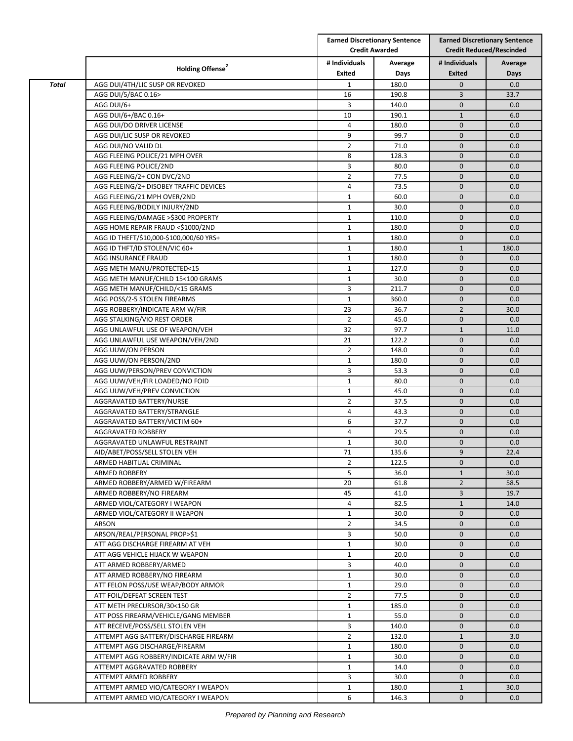|              |                                         |                | <b>Earned Discretionary Sentence</b><br><b>Credit Awarded</b> |                | <b>Earned Discretionary Sentence</b><br><b>Credit Reduced/Rescinded</b> |  |
|--------------|-----------------------------------------|----------------|---------------------------------------------------------------|----------------|-------------------------------------------------------------------------|--|
|              | Holding Offense <sup>2</sup>            | # Individuals  | Average                                                       | # Individuals  | Average                                                                 |  |
|              |                                         | Exited         | Days                                                          | <b>Exited</b>  | Days                                                                    |  |
| <b>Total</b> | AGG DUI/4TH/LIC SUSP OR REVOKED         | $\mathbf{1}$   | 180.0                                                         | $\mathbf 0$    | 0.0                                                                     |  |
|              | AGG DUI/5/BAC 0.16>                     | 16             | 190.8                                                         | 3              | 33.7                                                                    |  |
|              | AGG DUI/6+                              | 3              | 140.0                                                         | $\mathbf{0}$   | 0.0                                                                     |  |
|              | AGG DUI/6+/BAC 0.16+                    | 10             | 190.1                                                         | $\mathbf{1}$   | 6.0                                                                     |  |
|              | AGG DUI/DO DRIVER LICENSE               | 4              | 180.0                                                         | $\mathbf 0$    | 0.0                                                                     |  |
|              | AGG DUI/LIC SUSP OR REVOKED             | 9              | 99.7                                                          | $\mathbf{0}$   | 0.0                                                                     |  |
|              | AGG DUI/NO VALID DL                     | $\overline{2}$ | 71.0                                                          | $\mathbf{0}$   | 0.0                                                                     |  |
|              | AGG FLEEING POLICE/21 MPH OVER          | 8              | 128.3                                                         | $\mathbf{0}$   | 0.0                                                                     |  |
|              | AGG FLEEING POLICE/2ND                  | 3              | 80.0                                                          | $\mathbf 0$    | 0.0                                                                     |  |
|              | AGG FLEEING/2+ CON DVC/2ND              | $\overline{2}$ | 77.5                                                          | $\mathbf 0$    | 0.0                                                                     |  |
|              | AGG FLEEING/2+ DISOBEY TRAFFIC DEVICES  | 4              | 73.5                                                          | $\mathbf 0$    | 0.0                                                                     |  |
|              | AGG FLEEING/21 MPH OVER/2ND             | $\mathbf{1}$   | 60.0                                                          | $\mathbf 0$    | 0.0                                                                     |  |
|              | AGG FLEEING/BODILY INJURY/2ND           | $\mathbf{1}$   | 30.0                                                          | $\mathbf{0}$   | 0.0                                                                     |  |
|              | AGG FLEEING/DAMAGE >\$300 PROPERTY      | $\mathbf{1}$   | 110.0                                                         | $\mathbf 0$    | 0.0                                                                     |  |
|              | AGG HOME REPAIR FRAUD <\$1000/2ND       | $\mathbf{1}$   | 180.0                                                         | $\mathbf{0}$   | 0.0                                                                     |  |
|              | AGG ID THEFT/\$10,000-\$100,000/60 YRS+ | $\mathbf{1}$   | 180.0                                                         | $\mathbf 0$    | 0.0                                                                     |  |
|              | AGG ID THFT/ID STOLEN/VIC 60+           | $\mathbf{1}$   | 180.0                                                         | $\mathbf{1}$   | 180.0                                                                   |  |
|              | AGG INSURANCE FRAUD                     | $\mathbf{1}$   | 180.0                                                         | $\mathbf{0}$   | 0.0                                                                     |  |
|              | AGG METH MANU/PROTECTED<15              | $\mathbf{1}$   | 127.0                                                         | $\mathbf{0}$   | 0.0                                                                     |  |
|              | AGG METH MANUF/CHILD 15<100 GRAMS       | $\mathbf{1}$   | 30.0                                                          | $\mathbf 0$    | 0.0                                                                     |  |
|              | AGG METH MANUF/CHILD/<15 GRAMS          | 3              | 211.7                                                         | $\mathbf{0}$   | 0.0                                                                     |  |
|              | AGG POSS/2-5 STOLEN FIREARMS            | $\mathbf{1}$   | 360.0                                                         | $\mathbf 0$    | 0.0                                                                     |  |
|              | AGG ROBBERY/INDICATE ARM W/FIR          | 23             | 36.7                                                          | $\overline{2}$ | 30.0                                                                    |  |
|              | AGG STALKING/VIO REST ORDER             | $\overline{2}$ | 45.0                                                          | $\mathbf{0}$   | 0.0                                                                     |  |
|              | AGG UNLAWFUL USE OF WEAPON/VEH          | 32             | 97.7                                                          | $\mathbf{1}$   | 11.0                                                                    |  |
|              | AGG UNLAWFUL USE WEAPON/VEH/2ND         | 21             | 122.2                                                         | $\mathbf{0}$   | 0.0                                                                     |  |
|              | AGG UUW/ON PERSON                       | $\overline{2}$ | 148.0                                                         | $\mathbf 0$    | 0.0                                                                     |  |
|              | AGG UUW/ON PERSON/2ND                   | $\mathbf{1}$   | 180.0                                                         | $\mathbf{0}$   | 0.0                                                                     |  |
|              | AGG UUW/PERSON/PREV CONVICTION          | 3              | 53.3                                                          | $\mathbf{0}$   | 0.0                                                                     |  |
|              | AGG UUW/VEH/FIR LOADED/NO FOID          | $\mathbf{1}$   | 80.0                                                          | $\mathbf{0}$   | 0.0                                                                     |  |
|              | AGG UUW/VEH/PREV CONVICTION             | 1              | 45.0                                                          | $\mathbf{0}$   | 0.0                                                                     |  |
|              | AGGRAVATED BATTERY/NURSE                | $\overline{2}$ | 37.5                                                          | $\mathbf 0$    | 0.0                                                                     |  |
|              | AGGRAVATED BATTERY/STRANGLE             | 4              | 43.3                                                          | $\mathbf 0$    | 0.0                                                                     |  |
|              | AGGRAVATED BATTERY/VICTIM 60+           | 6              | 37.7                                                          | $\mathbf 0$    | 0.0                                                                     |  |
|              | AGGRAVATED ROBBERY                      | 4              | 29.5                                                          | $\mathbf{0}$   | 0.0                                                                     |  |
|              | AGGRAVATED UNLAWFUL RESTRAINT           | $\mathbf{1}$   | 30.0                                                          | $\mathbf 0$    | 0.0                                                                     |  |
|              | AID/ABET/POSS/SELL STOLEN VEH           | 71             | 135.6                                                         | $\overline{9}$ | 22.4                                                                    |  |
|              | ARMED HABITUAL CRIMINAL                 | $\overline{2}$ | 122.5                                                         | $\mathbf{0}$   | 0.0                                                                     |  |
|              | <b>ARMED ROBBERY</b>                    | 5              | 36.0                                                          | $\mathbf{1}$   | 30.0                                                                    |  |
|              | ARMED ROBBERY/ARMED W/FIREARM           | 20             | 61.8                                                          | $\overline{2}$ | 58.5                                                                    |  |
|              | ARMED ROBBERY/NO FIREARM                | 45             | 41.0                                                          | 3              | 19.7                                                                    |  |
|              | ARMED VIOL/CATEGORY I WEAPON            | 4              | 82.5                                                          | $\mathbf{1}$   | 14.0                                                                    |  |
|              | ARMED VIOL/CATEGORY II WEAPON           | $\mathbf{1}$   | 30.0                                                          | $\mathbf 0$    | 0.0                                                                     |  |
|              | ARSON                                   | $\overline{2}$ | 34.5                                                          | $\mathbf{0}$   | 0.0                                                                     |  |
|              | ARSON/REAL/PERSONAL PROP>\$1            | 3              | 50.0                                                          | $\mathbf{0}$   | 0.0                                                                     |  |
|              | ATT AGG DISCHARGE FIREARM AT VEH        | $\mathbf{1}$   | 30.0                                                          | $\mathbf{0}$   | 0.0                                                                     |  |
|              | ATT AGG VEHICLE HIJACK W WEAPON         | $\mathbf{1}$   | 20.0                                                          | $\mathbf{0}$   | 0.0                                                                     |  |
|              | ATT ARMED ROBBERY/ARMED                 | 3              | 40.0                                                          | $\mathbf 0$    | 0.0                                                                     |  |
|              | ATT ARMED ROBBERY/NO FIREARM            | $\mathbf{1}$   | 30.0                                                          | $\mathbf{0}$   | 0.0                                                                     |  |
|              | ATT FELON POSS/USE WEAP/BODY ARMOR      | $\mathbf{1}$   | 29.0                                                          | $\mathbf 0$    | 0.0                                                                     |  |
|              | ATT FOIL/DEFEAT SCREEN TEST             | $\overline{2}$ | 77.5                                                          | $\mathbf 0$    | 0.0                                                                     |  |
|              | ATT METH PRECURSOR/30<150 GR            | $\mathbf{1}$   | 185.0                                                         | $\mathbf 0$    | 0.0                                                                     |  |
|              | ATT POSS FIREARM/VEHICLE/GANG MEMBER    | $\mathbf{1}$   | 55.0                                                          | $\mathbf{0}$   | 0.0                                                                     |  |
|              | ATT RECEIVE/POSS/SELL STOLEN VEH        | 3              | 140.0                                                         | $\mathbf 0$    | 0.0                                                                     |  |
|              | ATTEMPT AGG BATTERY/DISCHARGE FIREARM   | $\overline{2}$ | 132.0                                                         | $\mathbf{1}$   | 3.0                                                                     |  |
|              | ATTEMPT AGG DISCHARGE/FIREARM           | $\mathbf{1}$   | 180.0                                                         | $\mathbf{0}$   | 0.0                                                                     |  |
|              | ATTEMPT AGG ROBBERY/INDICATE ARM W/FIR  | $\mathbf{1}$   | 30.0                                                          | $\mathbf{0}$   | 0.0                                                                     |  |
|              |                                         |                |                                                               | $\mathbf{0}$   | 0.0                                                                     |  |
|              | ATTEMPT AGGRAVATED ROBBERY              | $\mathbf{1}$   | 14.0                                                          |                |                                                                         |  |
|              | ATTEMPT ARMED ROBBERY                   | 3              | 30.0                                                          | $\mathbf 0$    | 0.0                                                                     |  |
|              | ATTEMPT ARMED VIO/CATEGORY I WEAPON     | $\mathbf{1}$   | 180.0                                                         | $\mathbf{1}$   | 30.0                                                                    |  |
|              | ATTEMPT ARMED VIO/CATEGORY I WEAPON     | 6              | 146.3                                                         | $\mathbf{0}$   | 0.0                                                                     |  |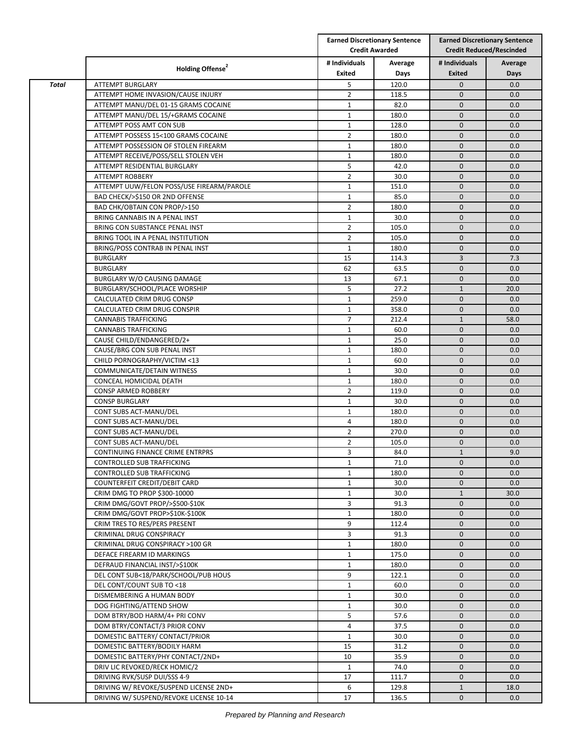|              | Holding Offense <sup>2</sup>                                     |                                | <b>Earned Discretionary Sentence</b><br><b>Credit Awarded</b> |                                | <b>Earned Discretionary Sentence</b><br><b>Credit Reduced/Rescinded</b> |  |
|--------------|------------------------------------------------------------------|--------------------------------|---------------------------------------------------------------|--------------------------------|-------------------------------------------------------------------------|--|
|              |                                                                  | # Individuals<br><b>Exited</b> | Average<br>Days                                               | # Individuals<br><b>Exited</b> | Average<br>Days                                                         |  |
| <b>Total</b> | <b>ATTEMPT BURGLARY</b>                                          | 5                              | 120.0                                                         | $\mathbf 0$                    | 0.0                                                                     |  |
|              | ATTEMPT HOME INVASION/CAUSE INJURY                               | $\overline{2}$                 | 118.5                                                         | $\mathbf{0}$                   | 0.0                                                                     |  |
|              | ATTEMPT MANU/DEL 01-15 GRAMS COCAINE                             | $\mathbf{1}$                   | 82.0                                                          | $\mathbf{0}$                   | 0.0                                                                     |  |
|              | ATTEMPT MANU/DEL 15/+GRAMS COCAINE                               | $\mathbf{1}$                   | 180.0                                                         | $\mathbf{0}$                   | 0.0                                                                     |  |
|              | ATTEMPT POSS AMT CON SUB                                         | $\mathbf{1}$                   | 128.0                                                         | $\mathbf{0}$                   | 0.0                                                                     |  |
|              | ATTEMPT POSSESS 15<100 GRAMS COCAINE                             | $\overline{2}$                 | 180.0                                                         | $\mathbf 0$                    | 0.0                                                                     |  |
|              | ATTEMPT POSSESSION OF STOLEN FIREARM                             | $\mathbf{1}$                   | 180.0                                                         | $\mathbf 0$                    | 0.0                                                                     |  |
|              | ATTEMPT RECEIVE/POSS/SELL STOLEN VEH                             | $\mathbf{1}$                   | 180.0                                                         | $\mathbf{0}$                   | 0.0                                                                     |  |
|              | ATTEMPT RESIDENTIAL BURGLARY                                     | 5                              | 42.0                                                          | $\mathbf{0}$                   | 0.0                                                                     |  |
|              | <b>ATTEMPT ROBBERY</b>                                           | $\overline{2}$                 | 30.0                                                          | $\mathbf 0$                    | 0.0                                                                     |  |
|              | ATTEMPT UUW/FELON POSS/USE FIREARM/PAROLE                        | $\mathbf{1}$                   | 151.0                                                         | $\mathbf 0$                    | 0.0                                                                     |  |
|              | BAD CHECK/>\$150 OR 2ND OFFENSE                                  | $\mathbf{1}$                   | 85.0                                                          | $\mathbf 0$                    | 0.0                                                                     |  |
|              |                                                                  | $\overline{2}$                 | 180.0                                                         | $\mathbf{0}$                   | 0.0                                                                     |  |
|              | BAD CHK/OBTAIN CON PROP/>150                                     |                                |                                                               |                                |                                                                         |  |
|              | BRING CANNABIS IN A PENAL INST                                   | $\mathbf{1}$                   | 30.0                                                          | $\mathbf{0}$                   | 0.0                                                                     |  |
|              | BRING CON SUBSTANCE PENAL INST                                   | $\overline{2}$                 | 105.0                                                         | $\mathbf 0$                    | 0.0                                                                     |  |
|              | BRING TOOL IN A PENAL INSTITUTION                                | $\overline{2}$                 | 105.0                                                         | $\mathbf{0}$                   | 0.0                                                                     |  |
|              | BRING/POSS CONTRAB IN PENAL INST                                 | $\mathbf{1}$                   | 180.0                                                         | $\mathbf 0$                    | 0.0                                                                     |  |
|              | <b>BURGLARY</b>                                                  | 15                             | 114.3                                                         | $\overline{3}$                 | 7.3                                                                     |  |
|              | <b>BURGLARY</b>                                                  | 62                             | 63.5                                                          | $\mathbf{0}$                   | 0.0                                                                     |  |
|              | BURGLARY W/O CAUSING DAMAGE                                      | 13                             | 67.1                                                          | $\mathbf{0}$                   | 0.0                                                                     |  |
|              | BURGLARY/SCHOOL/PLACE WORSHIP                                    | 5                              | 27.2                                                          | $\mathbf{1}$                   | 20.0                                                                    |  |
|              | CALCULATED CRIM DRUG CONSP                                       | $\mathbf{1}$                   | 259.0                                                         | $\mathbf{0}$                   | 0.0                                                                     |  |
|              | CALCULATED CRIM DRUG CONSPIR                                     | $\mathbf{1}$                   | 358.0                                                         | $\mathbf 0$                    | 0.0                                                                     |  |
|              | <b>CANNABIS TRAFFICKING</b>                                      | $\overline{7}$                 | 212.4                                                         | $\mathbf 1$                    | 58.0                                                                    |  |
|              | <b>CANNABIS TRAFFICKING</b>                                      | $\mathbf{1}$                   | 60.0                                                          | $\mathbf{0}$                   | 0.0                                                                     |  |
|              | CAUSE CHILD/ENDANGERED/2+                                        | $\mathbf{1}$                   | 25.0                                                          | $\mathbf 0$                    | 0.0                                                                     |  |
|              | CAUSE/BRG CON SUB PENAL INST                                     | $\mathbf{1}$                   | 180.0                                                         | $\mathbf 0$                    | 0.0                                                                     |  |
|              | CHILD PORNOGRAPHY/VICTIM <13                                     | $\mathbf{1}$                   | 60.0                                                          | $\mathbf 0$                    | 0.0                                                                     |  |
|              | COMMUNICATE/DETAIN WITNESS                                       | $\mathbf{1}$                   | 30.0                                                          | $\mathbf 0$                    | 0.0                                                                     |  |
|              | CONCEAL HOMICIDAL DEATH                                          | $\mathbf{1}$                   | 180.0                                                         | $\mathbf{0}$                   | 0.0                                                                     |  |
|              | CONSP ARMED ROBBERY                                              | $\overline{2}$                 | 119.0                                                         | $\mathbf{0}$                   | 0.0                                                                     |  |
|              | <b>CONSP BURGLARY</b>                                            | 1                              | 30.0                                                          | $\mathbf{0}$                   | 0.0                                                                     |  |
|              | CONT SUBS ACT-MANU/DEL                                           | $\mathbf{1}$                   | 180.0                                                         | $\mathbf{0}$                   | 0.0                                                                     |  |
|              | CONT SUBS ACT-MANU/DEL                                           | 4                              | 180.0                                                         | $\mathbf{0}$                   | 0.0                                                                     |  |
|              | CONT SUBS ACT-MANU/DEL                                           | $\overline{2}$                 | 270.0                                                         | $\mathbf{0}$                   | 0.0                                                                     |  |
|              | CONT SUBS ACT-MANU/DEL                                           | $\overline{2}$                 | 105.0                                                         | $\mathbf{0}$                   | 0.0                                                                     |  |
|              | CONTINUING FINANCE CRIME ENTRPRS                                 | 3                              | 84.0                                                          | $\mathbf 1$                    | 9.0                                                                     |  |
|              | CONTROLLED SUB TRAFFICKING                                       | $\mathbf{1}$                   | 71.0                                                          | $\mathbf 0$                    | 0.0                                                                     |  |
|              | CONTROLLED SUB TRAFFICKING                                       | $\mathbf{1}$                   | 180.0                                                         | $\mathbf{0}$                   | 0.0                                                                     |  |
|              | COUNTERFEIT CREDIT/DEBIT CARD                                    | $\mathbf{1}$                   | 30.0                                                          | $\mathbf 0$                    | 0.0                                                                     |  |
|              | CRIM DMG TO PROP \$300-10000                                     | $\mathbf{1}$                   | 30.0                                                          | $\mathbf 1$                    | 30.0                                                                    |  |
|              | CRIM DMG/GOVT PROP/>\$500-\$10K                                  | 3                              | 91.3                                                          | $\mathbf 0$                    | 0.0                                                                     |  |
|              |                                                                  |                                |                                                               | $\mathbf{0}$                   |                                                                         |  |
|              | CRIM DMG/GOVT PROP>\$10K-\$100K<br>CRIM TRES TO RES/PERS PRESENT | $\mathbf{1}$                   | 180.0                                                         |                                | 0.0                                                                     |  |
|              |                                                                  | 9                              | 112.4                                                         | $\mathbf 0$                    | 0.0                                                                     |  |
|              | CRIMINAL DRUG CONSPIRACY                                         | 3                              | 91.3                                                          | $\mathbf 0$                    | 0.0                                                                     |  |
|              | CRIMINAL DRUG CONSPIRACY >100 GR                                 | $\mathbf{1}$                   | 180.0                                                         | $\mathbf{0}$                   | 0.0                                                                     |  |
|              | DEFACE FIREARM ID MARKINGS                                       | $\mathbf{1}$                   | 175.0                                                         | $\mathbf{0}$                   | 0.0                                                                     |  |
|              | DEFRAUD FINANCIAL INST/>\$100K                                   | $\mathbf{1}$                   | 180.0                                                         | $\mathbf{0}$                   | 0.0                                                                     |  |
|              | DEL CONT SUB<18/PARK/SCHOOL/PUB HOUS                             | 9                              | 122.1                                                         | $\mathbf 0$                    | 0.0                                                                     |  |
|              | DEL CONT/COUNT SUB TO <18                                        | $\mathbf{1}$                   | 60.0                                                          | $\mathbf{0}$                   | 0.0                                                                     |  |
|              | DISMEMBERING A HUMAN BODY                                        | $\mathbf{1}$                   | 30.0                                                          | $\mathbf 0$                    | 0.0                                                                     |  |
|              | DOG FIGHTING/ATTEND SHOW                                         | $\mathbf{1}$                   | 30.0                                                          | $\mathbf{0}$                   | 0.0                                                                     |  |
|              |                                                                  |                                |                                                               |                                | 0.0                                                                     |  |
|              | DOM BTRY/BOD HARM/4+ PRI CONV                                    | 5                              | 57.6                                                          | $\mathbf{0}$                   |                                                                         |  |
|              | DOM BTRY/CONTACT/3 PRIOR CONV                                    | 4                              | 37.5                                                          | $\mathbf{0}$                   | 0.0                                                                     |  |
|              | DOMESTIC BATTERY/ CONTACT/PRIOR                                  | 1                              | 30.0                                                          | $\mathbf 0$                    | 0.0                                                                     |  |
|              | DOMESTIC BATTERY/BODILY HARM                                     | 15                             | 31.2                                                          | $\mathbf 0$                    | 0.0                                                                     |  |
|              | DOMESTIC BATTERY/PHY CONTACT/2ND+                                | 10                             | 35.9                                                          | $\mathbf{0}$                   | 0.0                                                                     |  |
|              | DRIV LIC REVOKED/RECK HOMIC/2                                    | $\mathbf{1}$                   | 74.0                                                          | $\mathbf{0}$                   | 0.0                                                                     |  |
|              | DRIVING RVK/SUSP DUI/SSS 4-9                                     | 17                             | 111.7                                                         | $\mathbf{0}$                   | 0.0                                                                     |  |
|              | DRIVING W/ REVOKE/SUSPEND LICENSE 2ND+                           | 6                              | 129.8                                                         | $\mathbf{1}$                   | 18.0                                                                    |  |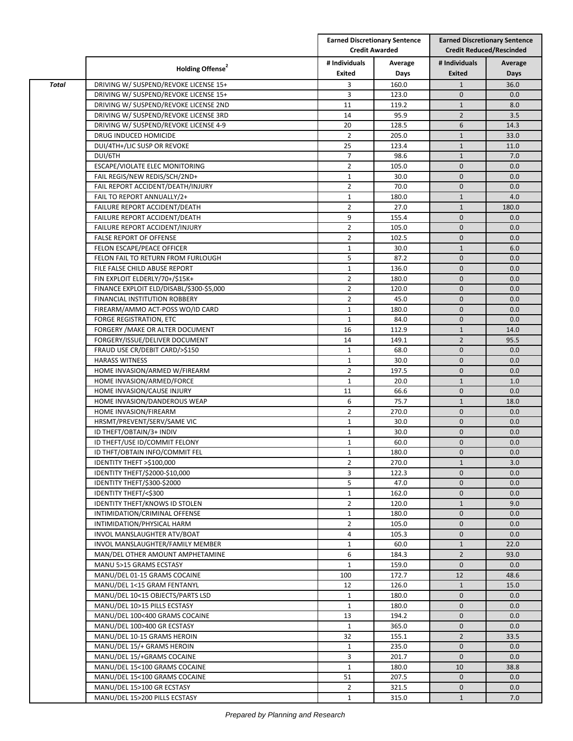|              | Holding Offense <sup>2</sup>             |                         | <b>Earned Discretionary Sentence</b><br><b>Credit Awarded</b> |                                | <b>Earned Discretionary Sentence</b><br><b>Credit Reduced/Rescinded</b> |  |
|--------------|------------------------------------------|-------------------------|---------------------------------------------------------------|--------------------------------|-------------------------------------------------------------------------|--|
|              |                                          | # Individuals<br>Exited | Average<br>Days                                               | # Individuals<br><b>Exited</b> | Average<br>Days                                                         |  |
| <b>Total</b> | DRIVING W/ SUSPEND/REVOKE LICENSE 15+    | 3                       | 160.0                                                         | $\mathbf{1}$                   | 36.0                                                                    |  |
|              | DRIVING W/ SUSPEND/REVOKE LICENSE 15+    | 3                       | 123.0                                                         | $\mathbf{0}$                   | 0.0                                                                     |  |
|              |                                          |                         |                                                               |                                |                                                                         |  |
|              | DRIVING W/ SUSPEND/REVOKE LICENSE 2ND    | 11                      | 119.2                                                         | $\mathbf{1}$                   | 8.0                                                                     |  |
|              | DRIVING W/ SUSPEND/REVOKE LICENSE 3RD    | 14                      | 95.9                                                          | $\overline{2}$                 | 3.5                                                                     |  |
|              | DRIVING W/ SUSPEND/REVOKE LICENSE 4-9    | 20                      | 128.5                                                         | 6                              | 14.3                                                                    |  |
|              | DRUG INDUCED HOMICIDE                    | $\overline{2}$          | 205.0                                                         | $\mathbf{1}$                   | 33.0                                                                    |  |
|              | DUI/4TH+/LIC SUSP OR REVOKE              | 25                      | 123.4                                                         | $\mathbf{1}$                   | 11.0                                                                    |  |
|              | DUI/6TH                                  | $\overline{7}$          | 98.6                                                          | $\mathbf{1}$                   | 7.0                                                                     |  |
|              | ESCAPE/VIOLATE ELEC MONITORING           | $\overline{2}$          | 105.0                                                         | $\mathbf{0}$                   | 0.0                                                                     |  |
|              | FAIL REGIS/NEW REDIS/SCH/2ND+            | $\mathbf{1}$            | 30.0                                                          | $\mathbf{0}$                   | 0.0                                                                     |  |
|              | FAIL REPORT ACCIDENT/DEATH/INJURY        | $\overline{2}$          | 70.0                                                          | $\mathbf{0}$                   | 0.0                                                                     |  |
|              | FAIL TO REPORT ANNUALLY/2+               | $\mathbf{1}$            | 180.0                                                         | $\mathbf{1}$                   | 4.0                                                                     |  |
|              | FAILURE REPORT ACCIDENT/DEATH            | $\overline{2}$          | 27.0                                                          | $\mathbf{1}$                   | 180.0                                                                   |  |
|              | FAILURE REPORT ACCIDENT/DEATH            | 9                       | 155.4                                                         | $\mathbf{0}$                   | 0.0                                                                     |  |
|              | FAILURE REPORT ACCIDENT/INJURY           | $\overline{2}$          | 105.0                                                         | $\mathbf 0$                    | 0.0                                                                     |  |
|              | FALSE REPORT OF OFFENSE                  | $\overline{2}$          | 102.5                                                         | $\mathbf{0}$                   | 0.0                                                                     |  |
|              | FELON ESCAPE/PEACE OFFICER               | $\mathbf{1}$            | 30.0                                                          | $\mathbf{1}$                   | 6.0                                                                     |  |
|              | FELON FAIL TO RETURN FROM FURLOUGH       | 5                       | 87.2                                                          | $\mathbf{0}$                   | 0.0                                                                     |  |
|              | FILE FALSE CHILD ABUSE REPORT            | $\mathbf{1}$            | 136.0                                                         | $\mathbf{0}$                   | 0.0                                                                     |  |
|              | FIN EXPLOIT ELDERLY/70+/\$15K+           | $\overline{2}$          | 180.0                                                         | $\mathbf{0}$                   | 0.0                                                                     |  |
|              | FINANCE EXPLOIT ELD/DISABL/\$300-\$5,000 | $\overline{2}$          | 120.0                                                         | $\mathbf 0$                    | 0.0                                                                     |  |
|              | FINANCIAL INSTITUTION ROBBERY            | $\overline{2}$          | 45.0                                                          | $\mathbf 0$                    | 0.0                                                                     |  |
|              | FIREARM/AMMO ACT-POSS WO/ID CARD         | $\mathbf{1}$            | 180.0                                                         | $\mathbf{0}$                   | 0.0                                                                     |  |
|              | FORGE REGISTRATION, ETC                  | $\mathbf{1}$            | 84.0                                                          | $\mathbf{0}$                   | 0.0                                                                     |  |
|              | FORGERY / MAKE OR ALTER DOCUMENT         | 16                      | 112.9                                                         | $\mathbf{1}$                   | 14.0                                                                    |  |
|              | FORGERY/ISSUE/DELIVER DOCUMENT           | 14                      | 149.1                                                         | $\overline{2}$                 | 95.5                                                                    |  |
|              | FRAUD USE CR/DEBIT CARD/>\$150           | $\mathbf{1}$            | 68.0                                                          | $\mathbf{0}$                   | 0.0                                                                     |  |
|              |                                          |                         |                                                               |                                |                                                                         |  |
|              | <b>HARASS WITNESS</b>                    | $\mathbf{1}$            | 30.0                                                          | $\mathbf{0}$                   | 0.0                                                                     |  |
|              | HOME INVASION/ARMED W/FIREARM            | $\overline{2}$          | 197.5                                                         | $\mathbf{0}$                   | 0.0                                                                     |  |
|              | HOME INVASION/ARMED/FORCE                | $\mathbf{1}$            | 20.0                                                          | $\mathbf{1}$                   | 1.0                                                                     |  |
|              | HOME INVASION/CAUSE INJURY               | 11                      | 66.6                                                          | $\mathbf 0$                    | 0.0                                                                     |  |
|              | HOME INVASION/DANDEROUS WEAP             | 6                       | 75.7                                                          | $\mathbf{1}$                   | 18.0                                                                    |  |
|              | HOME INVASION/FIREARM                    | $\overline{2}$          | 270.0                                                         | $\mathbf 0$                    | 0.0                                                                     |  |
|              | HRSMT/PREVENT/SERV/SAME VIC              | $\mathbf{1}$            | 30.0                                                          | $\mathbf{0}$                   | 0.0                                                                     |  |
|              | ID THEFT/OBTAIN/3+ INDIV                 | $\mathbf{1}$            | 30.0                                                          | $\mathbf{0}$                   | 0.0                                                                     |  |
|              | ID THEFT/USE ID/COMMIT FELONY            | $\mathbf{1}$            | 60.0                                                          | $\mathbf 0$                    | 0.0                                                                     |  |
|              | ID THFT/OBTAIN INFO/COMMIT FEL           | $\mathbf{1}$            | 180.0                                                         | $\mathbf{0}$                   | 0.0                                                                     |  |
|              | IDENTITY THEFT >\$100,000                | $\overline{2}$          | 270.0                                                         | $\mathbf{1}$                   | 3.0                                                                     |  |
|              | <b>IDENTITY THEFT/\$2000-\$10,000</b>    | 3                       | 122.3                                                         | $\mathbf{0}$                   | 0.0                                                                     |  |
|              | IDENTITY THEFT/\$300-\$2000              | 5                       | 47.0                                                          | $\mathbf{0}$                   | 0.0                                                                     |  |
|              | IDENTITY THEFT/<\$300                    | $\mathbf{1}$            | 162.0                                                         | $\mathbf{0}$                   | 0.0                                                                     |  |
|              | <b>IDENTITY THEFT/KNOWS ID STOLEN</b>    | $\overline{2}$          | 120.0                                                         | $\mathbf{1}$                   | 9.0                                                                     |  |
|              | INTIMIDATION/CRIMINAL OFFENSE            | $\mathbf{1}$            | 180.0                                                         | $\mathbf 0$                    | 0.0                                                                     |  |
|              | INTIMIDATION/PHYSICAL HARM               | $\overline{2}$          | 105.0                                                         | $\mathbf{0}$                   | 0.0                                                                     |  |
|              | INVOL MANSLAUGHTER ATV/BOAT              | 4                       | 105.3                                                         | $\mathbf{0}$                   | 0.0                                                                     |  |
|              | INVOL MANSLAUGHTER/FAMILY MEMBER         | $\mathbf{1}$            | 60.0                                                          | $\mathbf{1}$                   | 22.0                                                                    |  |
|              | MAN/DEL OTHER AMOUNT AMPHETAMINE         | 6                       | 184.3                                                         | $\overline{2}$                 | 93.0                                                                    |  |
|              | MANU 5>15 GRAMS ECSTASY                  | 1                       | 159.0                                                         | $\mathbf 0$                    | 0.0                                                                     |  |
|              | MANU/DEL 01-15 GRAMS COCAINE             | 100                     | 172.7                                                         | 12                             | 48.6                                                                    |  |
|              | MANU/DEL 1<15 GRAM FENTANYL              | 12                      | 126.0                                                         | $\mathbf{1}$                   | 15.0                                                                    |  |
|              | MANU/DEL 10<15 OBJECTS/PARTS LSD         | $\mathbf{1}$            | 180.0                                                         | $\mathbf{0}$                   | 0.0                                                                     |  |
|              | MANU/DEL 10>15 PILLS ECSTASY             | $\mathbf{1}$            | 180.0                                                         | $\mathbf{0}$                   | 0.0                                                                     |  |
|              | MANU/DEL 100<400 GRAMS COCAINE           | 13                      | 194.2                                                         | $\mathbf{0}$                   | 0.0                                                                     |  |
|              |                                          |                         |                                                               |                                |                                                                         |  |
|              | MANU/DEL 100>400 GR ECSTASY              | 1                       | 365.0                                                         | $\mathbf 0$                    | 0.0                                                                     |  |
|              | MANU/DEL 10-15 GRAMS HEROIN              | 32                      | 155.1                                                         | $\overline{2}$                 | 33.5                                                                    |  |
|              | MANU/DEL 15/+ GRAMS HEROIN               | 1                       | 235.0                                                         | $\mathbf{0}$                   | 0.0                                                                     |  |
|              | MANU/DEL 15/+GRAMS COCAINE               | 3                       | 201.7                                                         | $\mathbf{0}$                   | 0.0                                                                     |  |
|              | MANU/DEL 15<100 GRAMS COCAINE            | $\mathbf{1}$            | 180.0                                                         | 10                             | 38.8                                                                    |  |
|              | MANU/DEL 15<100 GRAMS COCAINE            | 51                      | 207.5                                                         | $\mathbf{0}$                   | 0.0                                                                     |  |
|              | MANU/DEL 15>100 GR ECSTASY               | $\overline{2}$          | 321.5                                                         | $\mathbf 0$                    | 0.0                                                                     |  |
|              | MANU/DEL 15>200 PILLS ECSTASY            | $\mathbf{1}$            | 315.0                                                         | $\mathbf{1}$                   | 7.0                                                                     |  |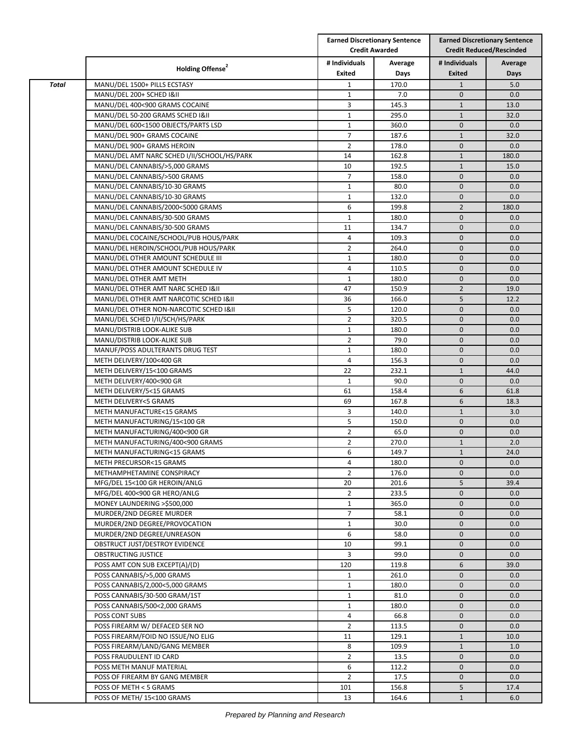|              | Holding Offense <sup>2</sup>                             |                         | <b>Earned Discretionary Sentence</b><br><b>Credit Awarded</b> |                              | <b>Earned Discretionary Sentence</b><br><b>Credit Reduced/Rescinded</b> |  |
|--------------|----------------------------------------------------------|-------------------------|---------------------------------------------------------------|------------------------------|-------------------------------------------------------------------------|--|
|              |                                                          | # Individuals<br>Exited | Average<br>Days                                               | # Individuals<br>Exited      | Average<br>Days                                                         |  |
| <b>Total</b> | MANU/DEL 1500+ PILLS ECSTASY                             | $\mathbf{1}$            | 170.0                                                         | $\mathbf{1}$                 | 5.0                                                                     |  |
|              | MANU/DEL 200+ SCHED I&II                                 | $\mathbf{1}$            | 7.0                                                           | $\mathbf{0}$                 | 0.0                                                                     |  |
|              | MANU/DEL 400<900 GRAMS COCAINE                           | 3                       | 145.3                                                         | $\mathbf{1}$                 | 13.0                                                                    |  |
|              | MANU/DEL 50-200 GRAMS SCHED I&II                         | 1                       | 295.0                                                         | $\mathbf{1}$                 | 32.0                                                                    |  |
|              | MANU/DEL 600<1500 OBJECTS/PARTS LSD                      | $\mathbf{1}$            | 360.0                                                         | $\mathbf{0}$                 | 0.0                                                                     |  |
|              | MANU/DEL 900+ GRAMS COCAINE                              | $\overline{7}$          | 187.6                                                         | $\mathbf{1}$                 | 32.0                                                                    |  |
|              | MANU/DEL 900+ GRAMS HEROIN                               | $\overline{2}$          | 178.0                                                         | $\mathbf{0}$                 | 0.0                                                                     |  |
|              | MANU/DEL AMT NARC SCHED I/II/SCHOOL/HS/PARK              | 14                      | 162.8                                                         | $\mathbf{1}$                 | 180.0                                                                   |  |
|              | MANU/DEL CANNABIS/>5,000 GRAMS                           | 10                      | 192.5                                                         | $\mathbf{1}$                 | 15.0                                                                    |  |
|              | MANU/DEL CANNABIS/>500 GRAMS                             | $\overline{7}$          | 158.0                                                         | $\mathbf{0}$                 | 0.0                                                                     |  |
|              | MANU/DEL CANNABIS/10-30 GRAMS                            | $\mathbf{1}$            | 80.0                                                          | $\mathbf{0}$                 | 0.0                                                                     |  |
|              | MANU/DEL CANNABIS/10-30 GRAMS                            | 1                       | 132.0                                                         | $\mathbf{0}$                 | 0.0                                                                     |  |
|              | MANU/DEL CANNABIS/2000<5000 GRAMS                        | 6                       | 199.8                                                         | $\overline{2}$               | 180.0                                                                   |  |
|              | MANU/DEL CANNABIS/30-500 GRAMS                           | $\mathbf{1}$            | 180.0                                                         | $\mathbf{0}$                 | 0.0                                                                     |  |
|              | MANU/DEL CANNABIS/30-500 GRAMS                           | 11                      | 134.7                                                         | $\mathbf 0$                  | 0.0                                                                     |  |
|              | MANU/DEL COCAINE/SCHOOL/PUB HOUS/PARK                    | $\overline{4}$          | 109.3                                                         | $\mathbf{0}$                 | 0.0                                                                     |  |
|              | MANU/DEL HEROIN/SCHOOL/PUB HOUS/PARK                     | $\overline{2}$          | 264.0                                                         | $\mathbf 0$                  | 0.0                                                                     |  |
|              | MANU/DEL OTHER AMOUNT SCHEDULE III                       | $\mathbf{1}$            | 180.0                                                         | $\mathbf{0}$                 | 0.0                                                                     |  |
|              | MANU/DEL OTHER AMOUNT SCHEDULE IV                        | 4                       | 110.5                                                         | $\mathbf{0}$                 | 0.0                                                                     |  |
|              | MANU/DEL OTHER AMT METH                                  | 1                       | 180.0                                                         | $\mathbf{0}$                 | 0.0                                                                     |  |
|              | MANU/DEL OTHER AMT NARC SCHED I&II                       | 47                      | 150.9                                                         | $\overline{2}$               | 19.0                                                                    |  |
|              | MANU/DEL OTHER AMT NARCOTIC SCHED I&II                   | 36                      | 166.0                                                         | 5                            | 12.2                                                                    |  |
|              | MANU/DEL OTHER NON-NARCOTIC SCHED I&II                   | 5                       | 120.0                                                         | $\mathbf{0}$                 | 0.0                                                                     |  |
|              | MANU/DEL SCHED I/II/SCH/HS/PARK                          | $\overline{2}$          | 320.5                                                         | $\mathbf{0}$                 | 0.0                                                                     |  |
|              | MANU/DISTRIB LOOK-ALIKE SUB                              | $\mathbf{1}$            | 180.0                                                         | $\mathbf{0}$                 | 0.0                                                                     |  |
|              | MANU/DISTRIB LOOK-ALIKE SUB                              | $\overline{2}$          | 79.0                                                          | $\mathbf 0$                  | 0.0                                                                     |  |
|              | MANUF/POSS ADULTERANTS DRUG TEST                         | $\mathbf{1}$            | 180.0                                                         | $\mathbf{0}$                 | 0.0                                                                     |  |
|              | METH DELIVERY/100<400 GR                                 | $\overline{4}$          | 156.3                                                         | $\mathbf 0$                  | 0.0                                                                     |  |
|              | METH DELIVERY/15<100 GRAMS                               | 22                      | 232.1                                                         | $\mathbf{1}$                 | 44.0                                                                    |  |
|              | METH DELIVERY/400<900 GR                                 | $\mathbf{1}$            | 90.0                                                          | $\mathbf{0}$                 | 0.0                                                                     |  |
|              | METH DELIVERY/5<15 GRAMS                                 | 61                      | 158.4                                                         | 6                            | 61.8                                                                    |  |
|              | METH DELIVERY<5 GRAMS                                    | 69                      | 167.8                                                         | 6                            | 18.3                                                                    |  |
|              | METH MANUFACTURE<15 GRAMS                                | 3                       | 140.0                                                         | $\mathbf{1}$                 | 3.0                                                                     |  |
|              | METH MANUFACTURING/15<100 GR                             | 5                       | 150.0                                                         | $\mathbf{0}$                 | 0.0                                                                     |  |
|              | METH MANUFACTURING/400<900 GR                            | $\overline{2}$          | 65.0                                                          | $\mathbf{0}$                 | 0.0                                                                     |  |
|              | METH MANUFACTURING/400<900 GRAMS                         | $\overline{2}$          | 270.0                                                         | $\mathbf{1}$                 | 2.0                                                                     |  |
|              | METH MANUFACTURING<15 GRAMS                              | 6                       | 149.7                                                         | $\mathbf{1}$                 | 24.0                                                                    |  |
|              | METH PRECURSOR<15 GRAMS                                  | 4                       | 180.0                                                         | $\mathbf 0$                  | 0.0                                                                     |  |
|              | METHAMPHETAMINE CONSPIRACY                               | $\overline{2}$          | 176.0                                                         | $\mathbf 0$                  | 0.0                                                                     |  |
|              | MFG/DEL 15<100 GR HEROIN/ANLG                            | 20                      | 201.6                                                         | 5                            | 39.4                                                                    |  |
|              | MFG/DEL 400<900 GR HERO/ANLG                             | $\overline{2}$          | 233.5                                                         | $\mathbf{0}$                 | 0.0                                                                     |  |
|              | MONEY LAUNDERING >\$500,000                              | $\mathbf{1}$            | 365.0                                                         | $\mathbf{0}$                 | 0.0                                                                     |  |
|              | MURDER/2ND DEGREE MURDER                                 | $\overline{7}$          | 58.1                                                          | $\mathbf 0$                  | 0.0                                                                     |  |
|              | MURDER/2ND DEGREE/PROVOCATION                            | $\mathbf{1}$            | 30.0                                                          | $\mathbf{0}$                 | 0.0                                                                     |  |
|              | MURDER/2ND DEGREE/UNREASON                               | 6                       | 58.0                                                          | $\mathbf{0}$                 | 0.0                                                                     |  |
|              | OBSTRUCT JUST/DESTROY EVIDENCE                           | 10                      | 99.1                                                          | $\mathbf{0}$                 | 0.0                                                                     |  |
|              | OBSTRUCTING JUSTICE                                      | 3                       | 99.0                                                          | $\mathbf{0}$                 | 0.0                                                                     |  |
|              | POSS AMT CON SUB EXCEPT(A)/(D)                           | 120                     | 119.8                                                         | 6                            | 39.0                                                                    |  |
|              | POSS CANNABIS/>5,000 GRAMS                               | 1                       | 261.0                                                         | $\mathbf 0$<br>$\mathbf{0}$  | 0.0                                                                     |  |
|              | POSS CANNABIS/2,000<5,000 GRAMS                          | $\mathbf{1}$            | 180.0                                                         |                              | 0.0                                                                     |  |
|              | POSS CANNABIS/30-500 GRAM/1ST                            | $\mathbf{1}$            | 81.0                                                          | $\mathbf 0$                  | 0.0                                                                     |  |
|              | POSS CANNABIS/500<2,000 GRAMS                            | $\mathbf{1}$            | 180.0                                                         | $\mathbf{0}$                 | 0.0                                                                     |  |
|              | POSS CONT SUBS                                           | 4                       | 66.8                                                          | $\mathbf{0}$                 | 0.0                                                                     |  |
|              | POSS FIREARM W/ DEFACED SER NO                           | $\overline{2}$          | 113.5                                                         | $\mathbf 0$                  | 0.0                                                                     |  |
|              | POSS FIREARM/FOID NO ISSUE/NO ELIG                       | 11                      | 129.1                                                         | $\mathbf{1}$                 | 10.0                                                                    |  |
|              | POSS FIREARM/LAND/GANG MEMBER<br>POSS FRAUDULENT ID CARD | 8<br>$\overline{2}$     | 109.9                                                         | $\mathbf{1}$<br>$\mathbf{0}$ | 1.0                                                                     |  |
|              | POSS METH MANUF MATERIAL                                 | 6                       | 13.5<br>112.2                                                 | $\mathbf{0}$                 | 0.0<br>0.0                                                              |  |
|              | POSS OF FIREARM BY GANG MEMBER                           | $\overline{2}$          | 17.5                                                          | $\mathbf{0}$                 | 0.0                                                                     |  |
|              | POSS OF METH < 5 GRAMS                                   | 101                     | 156.8                                                         | 5                            | 17.4                                                                    |  |
|              | POSS OF METH/ 15<100 GRAMS                               | 13                      | 164.6                                                         | $\mathbf{1}$                 | 6.0                                                                     |  |
|              |                                                          |                         |                                                               |                              |                                                                         |  |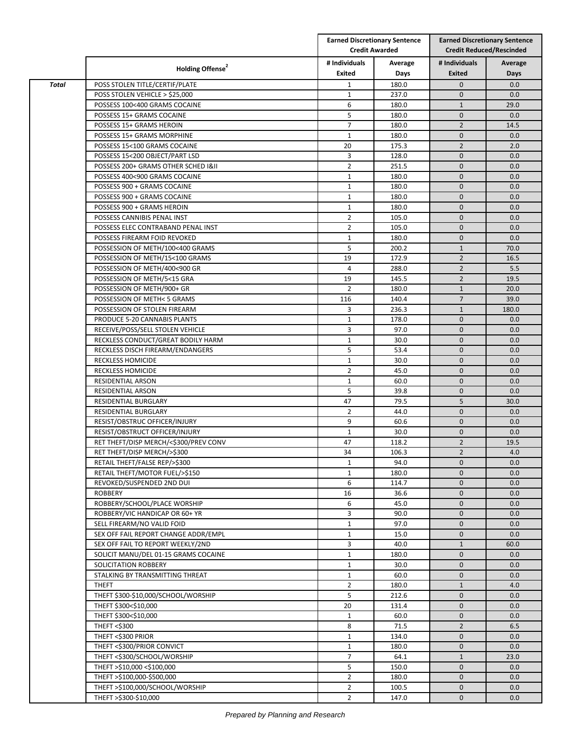|              |                                                                 | <b>Earned Discretionary Sentence</b><br><b>Credit Awarded</b> |               | <b>Earned Discretionary Sentence</b><br><b>Credit Reduced/Rescinded</b> |             |
|--------------|-----------------------------------------------------------------|---------------------------------------------------------------|---------------|-------------------------------------------------------------------------|-------------|
|              | Holding Offense <sup>2</sup>                                    | # Individuals                                                 | Average       | # Individuals                                                           | Average     |
|              |                                                                 | Exited                                                        | Days          | Exited                                                                  | Days        |
| <b>Total</b> | POSS STOLEN TITLE/CERTIF/PLATE                                  | $\mathbf{1}$                                                  | 180.0         | $\mathbf 0$                                                             | 0.0         |
|              | POSS STOLEN VEHICLE > \$25,000                                  | $\mathbf{1}$                                                  | 237.0         | $\mathbf{0}$                                                            | 0.0         |
|              | POSSESS 100<400 GRAMS COCAINE                                   | 6                                                             | 180.0         | $\mathbf{1}$                                                            | 29.0        |
|              | POSSESS 15+ GRAMS COCAINE                                       | 5                                                             | 180.0         | $\mathbf 0$                                                             | 0.0         |
|              | POSSESS 15+ GRAMS HEROIN                                        | $\overline{7}$                                                | 180.0         | $\overline{2}$                                                          | 14.5        |
|              | POSSESS 15+ GRAMS MORPHINE                                      | $\mathbf{1}$                                                  | 180.0         | $\mathbf 0$                                                             | 0.0         |
|              | POSSESS 15<100 GRAMS COCAINE                                    | 20                                                            | 175.3         | $\overline{2}$                                                          | 2.0         |
|              | POSSESS 15<200 OBJECT/PART LSD                                  | 3                                                             | 128.0         | $\mathbf{0}$                                                            | 0.0         |
|              | POSSESS 200+ GRAMS OTHER SCHED I&II                             | $\overline{2}$                                                | 251.5         | $\mathbf{0}$                                                            | 0.0         |
|              | POSSESS 400<900 GRAMS COCAINE                                   | $\mathbf{1}$                                                  | 180.0         | $\mathbf{0}$                                                            | 0.0         |
|              | POSSESS 900 + GRAMS COCAINE                                     | $\mathbf{1}$                                                  | 180.0         | $\mathbf{0}$                                                            | 0.0         |
|              | POSSESS 900 + GRAMS COCAINE                                     | $\mathbf{1}$                                                  | 180.0         | $\mathbf{0}$                                                            | 0.0         |
|              | POSSESS 900 + GRAMS HEROIN                                      | $\mathbf{1}$                                                  | 180.0         | $\mathbf{0}$                                                            | 0.0         |
|              | POSSESS CANNIBIS PENAL INST                                     | $\overline{2}$                                                | 105.0         | $\mathbf{0}$                                                            | 0.0         |
|              | POSSESS ELEC CONTRABAND PENAL INST                              | $\overline{2}$                                                | 105.0         | $\mathbf 0$                                                             | 0.0         |
|              | POSSESS FIREARM FOID REVOKED                                    | $\mathbf{1}$                                                  | 180.0         | $\mathbf{0}$                                                            | 0.0         |
|              | POSSESSION OF METH/100<400 GRAMS                                | 5                                                             | 200.2         | $\mathbf{1}$                                                            | 70.0        |
|              | POSSESSION OF METH/15<100 GRAMS                                 | 19                                                            | 172.9         | $\overline{2}$                                                          | 16.5        |
|              | POSSESSION OF METH/400<900 GR                                   | $\overline{4}$                                                | 288.0         | $\overline{2}$                                                          | 5.5         |
|              | POSSESSION OF METH/5<15 GRA                                     | 19                                                            | 145.5         | $\overline{2}$                                                          | 19.5        |
|              | POSSESSION OF METH/900+ GR                                      | $\overline{2}$                                                | 180.0         | $\mathbf{1}$                                                            | 20.0        |
|              | POSSESSION OF METH< 5 GRAMS                                     | 116                                                           | 140.4         | $\overline{7}$                                                          | 39.0        |
|              | POSSESSION OF STOLEN FIREARM                                    | 3                                                             | 236.3         | $\mathbf{1}$                                                            | 180.0       |
|              | PRODUCE 5-20 CANNABIS PLANTS                                    | $\mathbf{1}$                                                  | 178.0         | $\mathbf{0}$                                                            | 0.0         |
|              | RECEIVE/POSS/SELL STOLEN VEHICLE                                | 3                                                             | 97.0          | $\mathbf{0}$                                                            | 0.0         |
|              | RECKLESS CONDUCT/GREAT BODILY HARM                              | $\mathbf{1}$                                                  | 30.0          | $\mathbf 0$                                                             | 0.0         |
|              | RECKLESS DISCH FIREARM/ENDANGERS                                | 5                                                             | 53.4          | $\mathbf{0}$                                                            | 0.0         |
|              | <b>RECKLESS HOMICIDE</b>                                        | $\mathbf{1}$                                                  | 30.0          | $\mathbf 0$                                                             | 0.0         |
|              | RECKLESS HOMICIDE                                               | $\overline{2}$                                                | 45.0          | $\mathbf{0}$                                                            | 0.0         |
|              | RESIDENTIAL ARSON                                               | $\mathbf{1}$                                                  | 60.0          | $\mathbf{0}$                                                            | 0.0         |
|              | RESIDENTIAL ARSON                                               | 5                                                             | 39.8          | $\mathbf{0}$                                                            | 0.0         |
|              | <b>RESIDENTIAL BURGLARY</b>                                     | 47                                                            | 79.5          | 5                                                                       | 30.0        |
|              | RESIDENTIAL BURGLARY                                            | $\overline{2}$<br>9                                           | 44.0          | $\mathbf 0$<br>$\mathbf{0}$                                             | 0.0         |
|              | RESIST/OBSTRUC OFFICER/INJURY<br>RESIST/OBSTRUCT OFFICER/INJURY | $\mathbf{1}$                                                  | 60.6<br>30.0  | $\mathbf{0}$                                                            | 0.0         |
|              | RET THEFT/DISP MERCH/<\$300/PREV CONV                           | 47                                                            | 118.2         | $\overline{2}$                                                          | 0.0<br>19.5 |
|              |                                                                 | 34                                                            |               | $\overline{2}$                                                          | 4.0         |
|              | RET THEFT/DISP MERCH/>\$300                                     | $\mathbf{1}$                                                  | 106.3<br>94.0 | $\mathbf{0}$                                                            | 0.0         |
|              | RETAIL THEFT/FALSE REP/>\$300<br>RETAIL THEFT/MOTOR FUEL/>\$150 | $\mathbf{1}$                                                  | 180.0         | $\mathbf 0$                                                             | 0.0         |
|              | REVOKED/SUSPENDED 2ND DUI                                       | 6                                                             | 114.7         | $\mathbf 0$                                                             | 0.0         |
|              | <b>ROBBERY</b>                                                  | 16                                                            | 36.6          | $\mathbf{0}$                                                            | 0.0         |
|              | ROBBERY/SCHOOL/PLACE WORSHIP                                    | 6                                                             | 45.0          | $\mathbf 0$                                                             | 0.0         |
|              | ROBBERY/VIC HANDICAP OR 60+ YR                                  | 3                                                             | 90.0          | $\mathbf 0$                                                             | 0.0         |
|              | SELL FIREARM/NO VALID FOID                                      | $\mathbf{1}$                                                  | 97.0          | $\mathbf 0$                                                             | 0.0         |
|              | SEX OFF FAIL REPORT CHANGE ADDR/EMPL                            | $\mathbf{1}$                                                  | 15.0          | $\mathbf 0$                                                             | 0.0         |
|              | SEX OFF FAIL TO REPORT WEEKLY/2ND                               | 3                                                             | 40.0          | $\mathbf{1}$                                                            | 60.0        |
|              | SOLICIT MANU/DEL 01-15 GRAMS COCAINE                            | $\mathbf{1}$                                                  | 180.0         | $\mathbf 0$                                                             | 0.0         |
|              | SOLICITATION ROBBERY                                            | $\mathbf{1}$                                                  | 30.0          | $\mathbf{0}$                                                            | 0.0         |
|              | STALKING BY TRANSMITTING THREAT                                 | $\mathbf{1}$                                                  | 60.0          | $\mathbf 0$                                                             | 0.0         |
|              | <b>THEFT</b>                                                    | $\overline{2}$                                                | 180.0         | $\mathbf{1}$                                                            | 4.0         |
|              | THEFT \$300-\$10,000/SCHOOL/WORSHIP                             | 5                                                             | 212.6         | $\mathbf 0$                                                             | 0.0         |
|              | THEFT \$300<\$10,000                                            | 20                                                            | 131.4         | $\mathbf 0$                                                             | 0.0         |
|              | THEFT \$300<\$10,000                                            | $\mathbf{1}$                                                  | 60.0          | $\mathbf{0}$                                                            | 0.0         |
|              | THEFT <\$300                                                    | 8                                                             | 71.5          | $\overline{2}$                                                          | 6.5         |
|              | THEFT <\$300 PRIOR                                              | $\mathbf{1}$                                                  | 134.0         | $\mathbf{0}$                                                            | 0.0         |
|              | THEFT <\$300/PRIOR CONVICT                                      | $\mathbf{1}$                                                  | 180.0         | $\mathbf 0$                                                             | 0.0         |
|              | THEFT <\$300/SCHOOL/WORSHIP                                     | $\overline{7}$                                                | 64.1          | $\mathbf{1}$                                                            | 23.0        |
|              | THEFT >\$10,000 <\$100,000                                      | 5                                                             | 150.0         | $\mathbf 0$                                                             | 0.0         |
|              | THEFT >\$100,000-\$500,000                                      | $\overline{2}$                                                | 180.0         | $\mathbf 0$                                                             | 0.0         |
|              | THEFT >\$100,000/SCHOOL/WORSHIP                                 | $\overline{2}$                                                | 100.5         | $\mathbf 0$                                                             | 0.0         |
|              | THEFT >\$300-\$10,000                                           | $\overline{2}$                                                | 147.0         | $\mathbf 0$                                                             | 0.0         |
|              |                                                                 |                                                               |               |                                                                         |             |